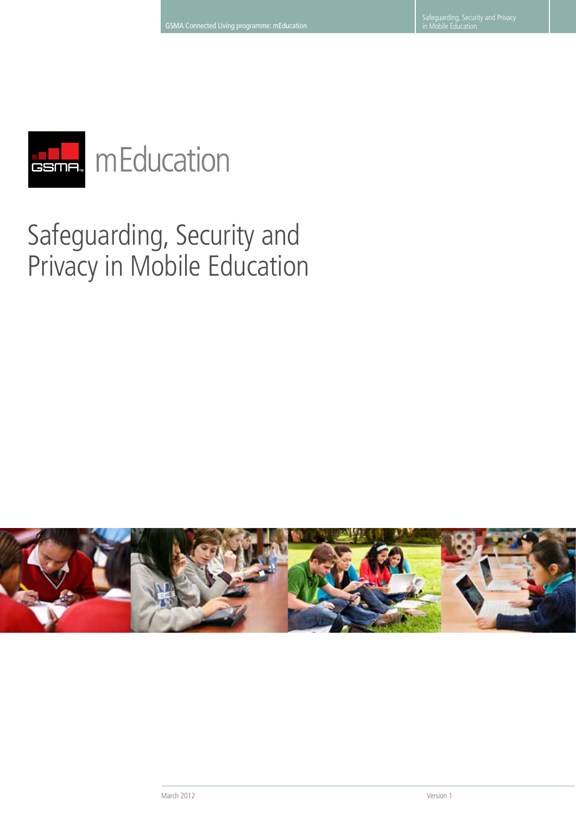

# **TELL** mEducation

# Safeguarding, Security and Privacy in Mobile Education

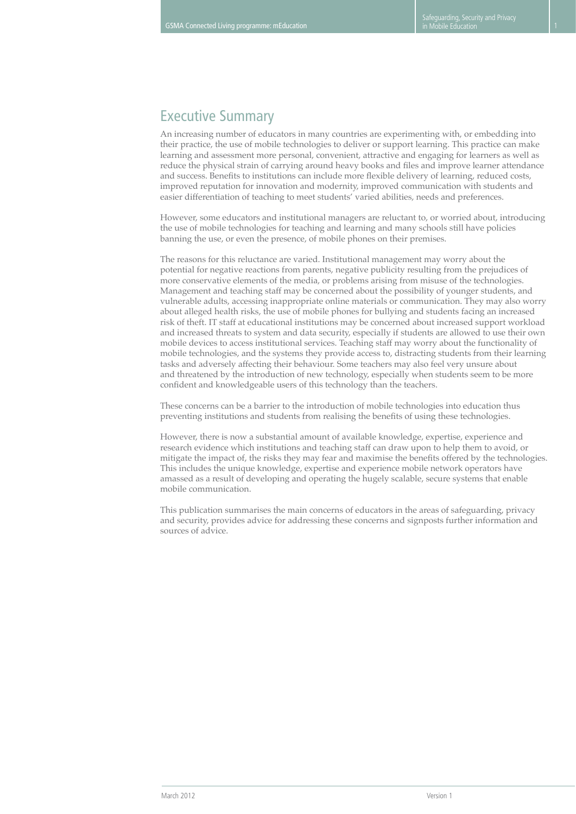# Executive Summary

An increasing number of educators in many countries are experimenting with, or embedding into their practice, the use of mobile technologies to deliver or support learning. This practice can make learning and assessment more personal, convenient, attractive and engaging for learners as well as reduce the physical strain of carrying around heavy books and files and improve learner attendance and success. Benefits to institutions can include more flexible delivery of learning, reduced costs, improved reputation for innovation and modernity, improved communication with students and easier differentiation of teaching to meet students' varied abilities, needs and preferences.

However, some educators and institutional managers are reluctant to, or worried about, introducing the use of mobile technologies for teaching and learning and many schools still have policies banning the use, or even the presence, of mobile phones on their premises.

The reasons for this reluctance are varied. Institutional management may worry about the potential for negative reactions from parents, negative publicity resulting from the prejudices of more conservative elements of the media, or problems arising from misuse of the technologies. Management and teaching staff may be concerned about the possibility of younger students, and vulnerable adults, accessing inappropriate online materials or communication. They may also worry about alleged health risks, the use of mobile phones for bullying and students facing an increased risk of theft. IT staff at educational institutions may be concerned about increased support workload and increased threats to system and data security, especially if students are allowed to use their own mobile devices to access institutional services. Teaching staff may worry about the functionality of mobile technologies, and the systems they provide access to, distracting students from their learning tasks and adversely affecting their behaviour. Some teachers may also feel very unsure about and threatened by the introduction of new technology, especially when students seem to be more confident and knowledgeable users of this technology than the teachers.

These concerns can be a barrier to the introduction of mobile technologies into education thus preventing institutions and students from realising the benefits of using these technologies.

However, there is now a substantial amount of available knowledge, expertise, experience and research evidence which institutions and teaching staff can draw upon to help them to avoid, or mitigate the impact of, the risks they may fear and maximise the benefits offered by the technologies. This includes the unique knowledge, expertise and experience mobile network operators have amassed as a result of developing and operating the hugely scalable, secure systems that enable mobile communication.

This publication summarises the main concerns of educators in the areas of safeguarding, privacy and security, provides advice for addressing these concerns and signposts further information and sources of advice.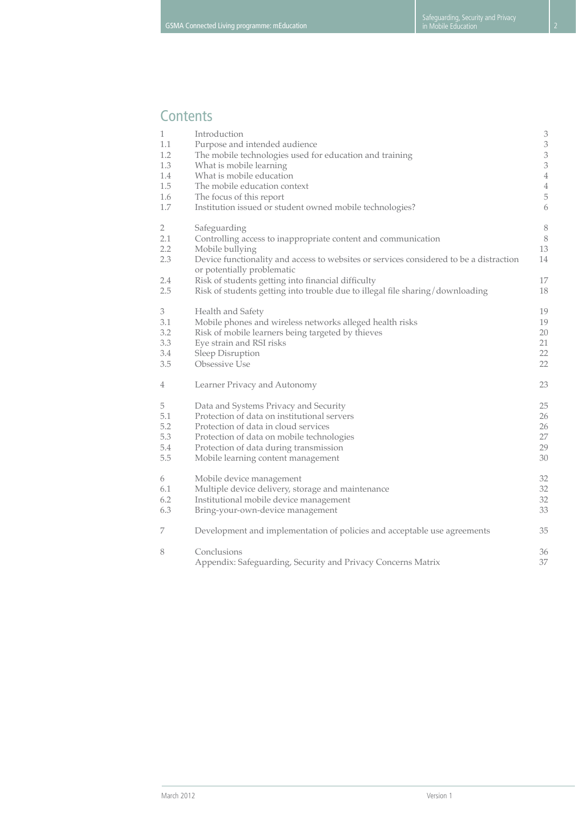# **Contents**

| $\mathbf{1}$                               | Introduction                                                                                                                                                                                                                                                                   | $\ensuremath{\mathsf{3}}$           |
|--------------------------------------------|--------------------------------------------------------------------------------------------------------------------------------------------------------------------------------------------------------------------------------------------------------------------------------|-------------------------------------|
| 1.1                                        | Purpose and intended audience                                                                                                                                                                                                                                                  | $\ensuremath{\mathfrak{Z}}$         |
| 1.2                                        | The mobile technologies used for education and training                                                                                                                                                                                                                        | $\ensuremath{\mathfrak{Z}}$         |
| 1.3                                        | What is mobile learning                                                                                                                                                                                                                                                        | $\ensuremath{\mathfrak{Z}}$         |
| 1.4                                        | What is mobile education                                                                                                                                                                                                                                                       | $\,4\,$                             |
| 1.5                                        | The mobile education context                                                                                                                                                                                                                                                   | $\,4\,$                             |
| 1.6                                        | The focus of this report                                                                                                                                                                                                                                                       | $\mathbf 5$                         |
| 1.7                                        | Institution issued or student owned mobile technologies?                                                                                                                                                                                                                       | $\boldsymbol{6}$                    |
| $\overline{2}$<br>2.1<br>2.2<br>2.3<br>2.4 | Safeguarding<br>Controlling access to inappropriate content and communication<br>Mobile bullying<br>Device functionality and access to websites or services considered to be a distraction<br>or potentially problematic<br>Risk of students getting into financial difficulty | $\,8\,$<br>$\, 8$<br>13<br>14<br>17 |
| 2.5                                        | Risk of students getting into trouble due to illegal file sharing/downloading                                                                                                                                                                                                  | 18                                  |
| $\mathfrak{Z}$                             | Health and Safety                                                                                                                                                                                                                                                              | 19                                  |
| 3.1                                        | Mobile phones and wireless networks alleged health risks                                                                                                                                                                                                                       | 19                                  |
| 3.2                                        | Risk of mobile learners being targeted by thieves                                                                                                                                                                                                                              | 20                                  |
| 3.3                                        | Eye strain and RSI risks                                                                                                                                                                                                                                                       | 21                                  |
| 3.4                                        | Sleep Disruption                                                                                                                                                                                                                                                               | 22                                  |
| 3.5                                        | Obsessive Use                                                                                                                                                                                                                                                                  | 22                                  |
| $\overline{4}$                             | Learner Privacy and Autonomy                                                                                                                                                                                                                                                   | 23                                  |
| 5                                          | Data and Systems Privacy and Security                                                                                                                                                                                                                                          | 25                                  |
| 5.1                                        | Protection of data on institutional servers                                                                                                                                                                                                                                    | 26                                  |
| 5.2                                        | Protection of data in cloud services                                                                                                                                                                                                                                           | 26                                  |
| 5.3                                        | Protection of data on mobile technologies                                                                                                                                                                                                                                      | 27                                  |
| 5.4                                        | Protection of data during transmission                                                                                                                                                                                                                                         | 29                                  |
| 5.5                                        | Mobile learning content management                                                                                                                                                                                                                                             | 30                                  |
| 6                                          | Mobile device management                                                                                                                                                                                                                                                       | 32                                  |
| 6.1                                        | Multiple device delivery, storage and maintenance                                                                                                                                                                                                                              | 32                                  |
| 6.2                                        | Institutional mobile device management                                                                                                                                                                                                                                         | 32                                  |
| 6.3                                        | Bring-your-own-device management                                                                                                                                                                                                                                               | 33                                  |
| 7                                          | Development and implementation of policies and acceptable use agreements                                                                                                                                                                                                       | 35                                  |
| 8                                          | Conclusions<br>Appendix: Safeguarding, Security and Privacy Concerns Matrix                                                                                                                                                                                                    | 36<br>37                            |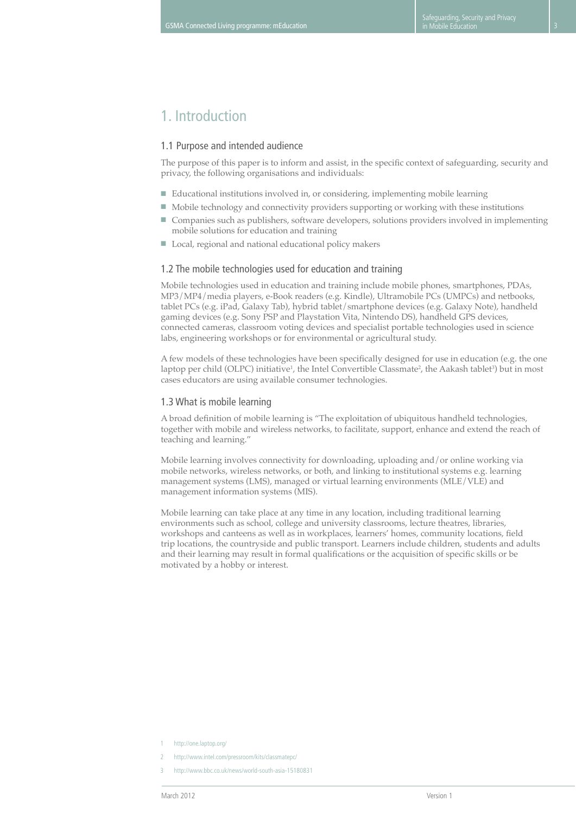## 1. Introduction

#### 1.1 Purpose and intended audience

The purpose of this paper is to inform and assist, in the specific context of safeguarding, security and privacy, the following organisations and individuals:

- Educational institutions involved in, or considering, implementing mobile learning
- Mobile technology and connectivity providers supporting or working with these institutions
- Companies such as publishers, software developers, solutions providers involved in implementing mobile solutions for education and training
- Local, regional and national educational policy makers

#### 1.2 The mobile technologies used for education and training

Mobile technologies used in education and training include mobile phones, smartphones, PDAs, MP3/MP4/media players, e-Book readers (e.g. Kindle), Ultramobile PCs (UMPCs) and netbooks, tablet PCs (e.g. iPad, Galaxy Tab), hybrid tablet/smartphone devices (e.g. Galaxy Note), handheld gaming devices (e.g. Sony PSP and Playstation Vita, Nintendo DS), handheld GPS devices, connected cameras, classroom voting devices and specialist portable technologies used in science labs, engineering workshops or for environmental or agricultural study.

A few models of these technologies have been specifically designed for use in education (e.g. the one laptop per child (OLPC) initiative<sup>1</sup>, the Intel Convertible Classmate<sup>2</sup>, the Aakash tablet<sup>3</sup>) but in most cases educators are using available consumer technologies.

#### 1.3 What is mobile learning

A broad definition of mobile learning is "The exploitation of ubiquitous handheld technologies, together with mobile and wireless networks, to facilitate, support, enhance and extend the reach of teaching and learning."

Mobile learning involves connectivity for downloading, uploading and/or online working via mobile networks, wireless networks, or both, and linking to institutional systems e.g. learning management systems (LMS), managed or virtual learning environments (MLE/VLE) and management information systems (MIS).

Mobile learning can take place at any time in any location, including traditional learning environments such as school, college and university classrooms, lecture theatres, libraries, workshops and canteens as well as in workplaces, learners' homes, community locations, field trip locations, the countryside and public transport. Learners include children, students and adults and their learning may result in formal qualifications or the acquisition of specific skills or be motivated by a hobby or interest.

- http://one.laptop.org/
- http://www.intel.com/pressroom/kits/classmatepc/
- 3 http://www.bbc.co.uk/news/world-south-asia-15180831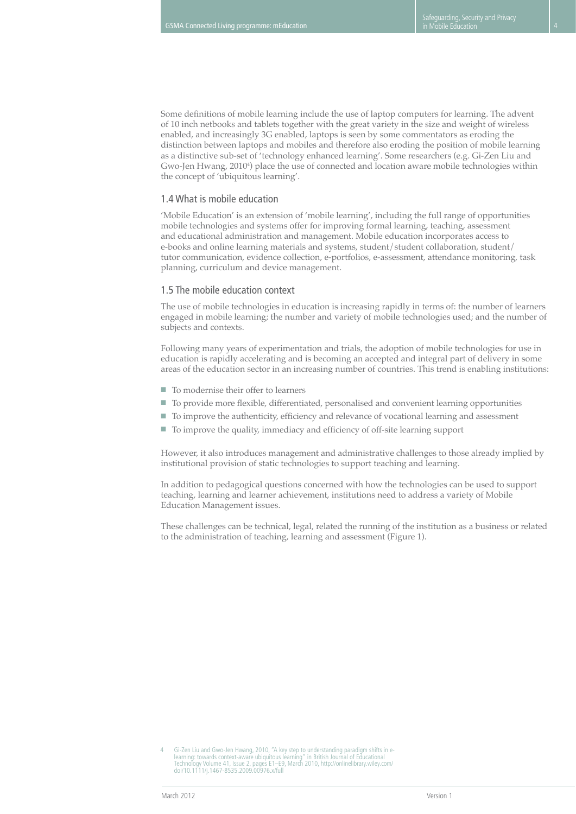Some definitions of mobile learning include the use of laptop computers for learning. The advent of 10 inch netbooks and tablets together with the great variety in the size and weight of wireless enabled, and increasingly 3G enabled, laptops is seen by some commentators as eroding the distinction between laptops and mobiles and therefore also eroding the position of mobile learning as a distinctive sub-set of 'technology enhanced learning'. Some researchers (e.g. Gi-Zen Liu and Gwo-Jen Hwang, 2010<sup>4</sup> ) place the use of connected and location aware mobile technologies within the concept of 'ubiquitous learning'.

#### 1.4 What is mobile education

'Mobile Education' is an extension of 'mobile learning', including the full range of opportunities mobile technologies and systems offer for improving formal learning, teaching, assessment and educational administration and management. Mobile education incorporates access to e-books and online learning materials and systems, student/student collaboration, student/ tutor communication, evidence collection, e-portfolios, e-assessment, attendance monitoring, task planning, curriculum and device management.

#### 1.5 The mobile education context

The use of mobile technologies in education is increasing rapidly in terms of: the number of learners engaged in mobile learning; the number and variety of mobile technologies used; and the number of subjects and contexts.

Following many years of experimentation and trials, the adoption of mobile technologies for use in education is rapidly accelerating and is becoming an accepted and integral part of delivery in some areas of the education sector in an increasing number of countries. This trend is enabling institutions:

- To modernise their offer to learners
- To provide more flexible, differentiated, personalised and convenient learning opportunities
- To improve the authenticity, efficiency and relevance of vocational learning and assessment
- To improve the quality, immediacy and efficiency of off-site learning support

However, it also introduces management and administrative challenges to those already implied by institutional provision of static technologies to support teaching and learning.

In addition to pedagogical questions concerned with how the technologies can be used to support teaching, learning and learner achievement, institutions need to address a variety of Mobile Education Management issues.

These challenges can be technical, legal, related the running of the institution as a business or related to the administration of teaching, learning and assessment (Figure 1).

<sup>4</sup> Gi-Zen Liu and Gwo-Jen Hwang, 2010, "A key step to understanding paradigm shifts in e-<br>learning: towards context-aware ubiquitous learning" in British Journal of Educational<br>Technology Volume 41, Issue 2, pages E1–E9, Ma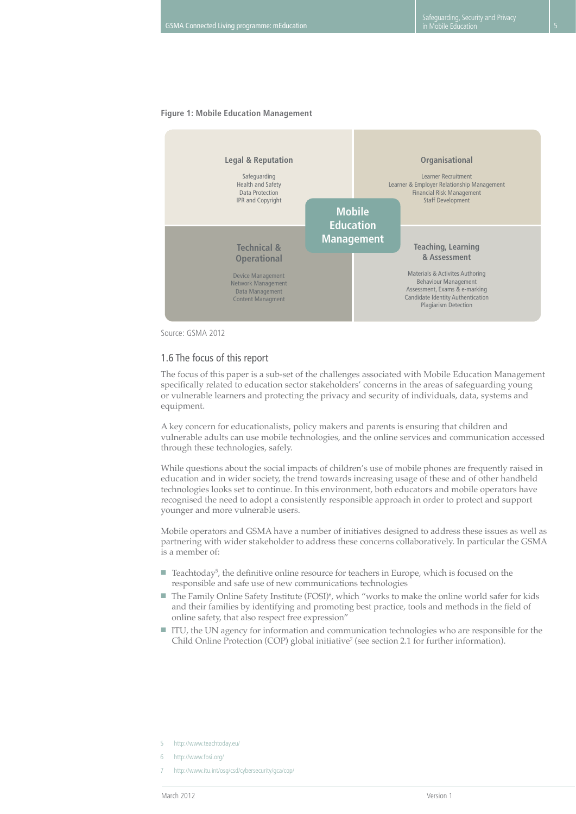## **Figure 1: Mobile Education Management**



Source: GSMA 2012

#### 1.6 The focus of this report

The focus of this paper is a sub-set of the challenges associated with Mobile Education Management specifically related to education sector stakeholders' concerns in the areas of safeguarding young or vulnerable learners and protecting the privacy and security of individuals, data, systems and equipment.

A key concern for educationalists, policy makers and parents is ensuring that children and vulnerable adults can use mobile technologies, and the online services and communication accessed through these technologies, safely.

While questions about the social impacts of children's use of mobile phones are frequently raised in education and in wider society, the trend towards increasing usage of these and of other handheld technologies looks set to continue. In this environment, both educators and mobile operators have recognised the need to adopt a consistently responsible approach in order to protect and support younger and more vulnerable users.

Mobile operators and GSMA have a number of initiatives designed to address these issues as well as partnering with wider stakeholder to address these concerns collaboratively. In particular the GSMA is a member of:

- Teachtoday<sup>5</sup>, the definitive online resource for teachers in Europe, which is focused on the responsible and safe use of new communications technologies
- The Family Online Safety Institute (FOSI)<sup>6</sup>, which "works to make the online world safer for kids and their families by identifying and promoting best practice, tools and methods in the field of online safety, that also respect free expression"
- ITU, the UN agency for information and communication technologies who are responsible for the Child Online Protection (COP) global initiative<sup>7</sup> (see section 2.1 for further information).

- 5 http://www.teachtoday.eu/
- 6 http://www.fosi.org/
- 7 http://www.itu.int/osg/csd/cybersecurity/gca/cop/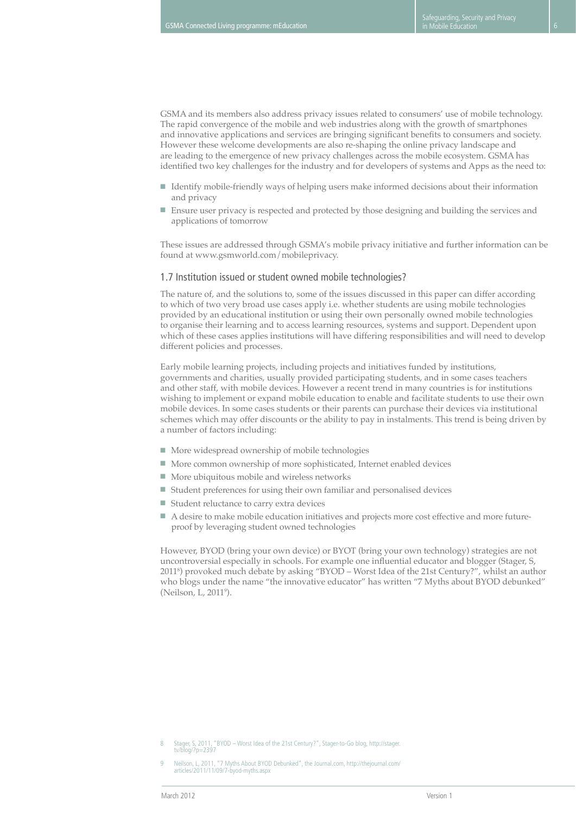GSMA and its members also address privacy issues related to consumers' use of mobile technology. The rapid convergence of the mobile and web industries along with the growth of smartphones and innovative applications and services are bringing significant benefits to consumers and society. However these welcome developments are also re-shaping the online privacy landscape and are leading to the emergence of new privacy challenges across the mobile ecosystem. GSMA has identified two key challenges for the industry and for developers of systems and Apps as the need to:

- Identify mobile-friendly ways of helping users make informed decisions about their information and privacy
- Ensure user privacy is respected and protected by those designing and building the services and applications of tomorrow

These issues are addressed through GSMA's mobile privacy initiative and further information can be found at www.gsmworld.com/mobileprivacy.

#### 1.7 Institution issued or student owned mobile technologies?

The nature of, and the solutions to, some of the issues discussed in this paper can differ according to which of two very broad use cases apply i.e. whether students are using mobile technologies provided by an educational institution or using their own personally owned mobile technologies to organise their learning and to access learning resources, systems and support. Dependent upon which of these cases applies institutions will have differing responsibilities and will need to develop different policies and processes.

Early mobile learning projects, including projects and initiatives funded by institutions, governments and charities, usually provided participating students, and in some cases teachers and other staff, with mobile devices. However a recent trend in many countries is for institutions wishing to implement or expand mobile education to enable and facilitate students to use their own mobile devices. In some cases students or their parents can purchase their devices via institutional schemes which may offer discounts or the ability to pay in instalments. This trend is being driven by a number of factors including:

- More widespread ownership of mobile technologies
- More common ownership of more sophisticated, Internet enabled devices
- More ubiquitous mobile and wireless networks
- Student preferences for using their own familiar and personalised devices
- Student reluctance to carry extra devices
- A desire to make mobile education initiatives and projects more cost effective and more futureproof by leveraging student owned technologies

However, BYOD (bring your own device) or BYOT (bring your own technology) strategies are not uncontroversial especially in schools. For example one influential educator and blogger (Stager, S, 20118 ) provoked much debate by asking "BYOD – Worst Idea of the 21st Century?", whilst an author who blogs under the name "the innovative educator" has written "7 Myths about BYOD debunked" (Neilson, L, 2011<sup>9</sup>).

<sup>8</sup> Stager, S, 2011, "BYOD – Worst Idea of the 21st Century?", Stager-to-Go blog, http://stager. tv/blog/?p=2397

<sup>9</sup> Neilson, L, 2011, "7 Myths About BYOD Debunked", the Journal.com, http://thejournal.com/ articles/2011/11/09/7-byod-myths.aspx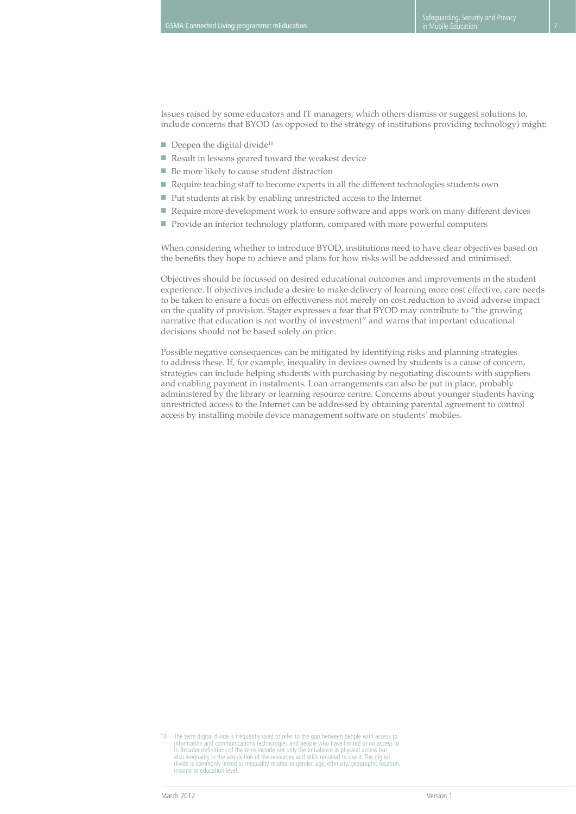Issues raised by some educators and IT managers, which others dismiss or suggest solutions to, include concerns that BYOD (as opposed to the strategy of institutions providing technology) might:

- $\blacksquare$  Deepen the digital divide<sup>10</sup>
- Result in lessons geared toward the weakest device
- Be more likely to cause student distraction
- Require teaching staff to become experts in all the different technologies students own
- Put students at risk by enabling unrestricted access to the Internet
- Require more development work to ensure software and apps work on many different devices
- Provide an inferior technology platform, compared with more powerful computers

When considering whether to introduce BYOD, institutions need to have clear objectives based on the benefits they hope to achieve and plans for how risks will be addressed and minimised.

Objectives should be focussed on desired educational outcomes and improvements in the student experience. If objectives include a desire to make delivery of learning more cost effective, care needs to be taken to ensure a focus on effectiveness not merely on cost reduction to avoid adverse impact on the quality of provision. Stager expresses a fear that BYOD may contribute to "the growing narrative that education is not worthy of investment" and warns that important educational decisions should not be based solely on price.

Possible negative consequences can be mitigated by identifying risks and planning strategies to address these. If, for example, inequality in devices owned by students is a cause of concern, strategies can include helping students with purchasing by negotiating discounts with suppliers and enabling payment in instalments. Loan arrangements can also be put in place, probably administered by the library or learning resource centre. Concerns about younger students having unrestricted access to the Internet can be addressed by obtaining parental agreement to control access by installing mobile device management software on students' mobiles.

<sup>10</sup> The term digital divide is frequently used to refer to the gap between people with access to<br>information and communications technologies and people who have limited or no access to<br>it. Broader definitions of the term in also inequality in the acquisition of the resources and skills required to use it. The digital divide is commonly linked to inequality related to gender, age, ethnicity, geographic location, income or education level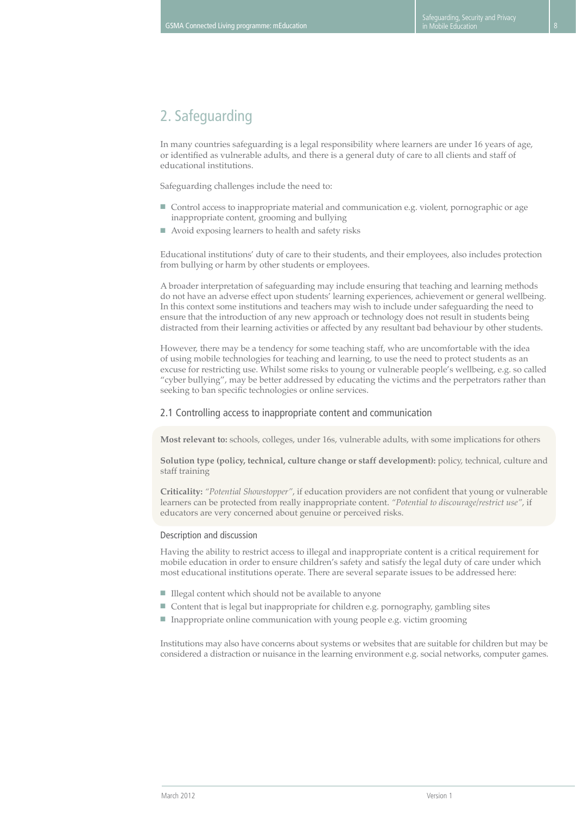# 2. Safeguarding

In many countries safeguarding is a legal responsibility where learners are under 16 years of age, or identified as vulnerable adults, and there is a general duty of care to all clients and staff of educational institutions.

Safeguarding challenges include the need to:

- Control access to inappropriate material and communication e.g. violent, pornographic or age inappropriate content, grooming and bullying
- Avoid exposing learners to health and safety risks

Educational institutions' duty of care to their students, and their employees, also includes protection from bullying or harm by other students or employees.

A broader interpretation of safeguarding may include ensuring that teaching and learning methods do not have an adverse effect upon students' learning experiences, achievement or general wellbeing. In this context some institutions and teachers may wish to include under safeguarding the need to ensure that the introduction of any new approach or technology does not result in students being distracted from their learning activities or affected by any resultant bad behaviour by other students.

However, there may be a tendency for some teaching staff, who are uncomfortable with the idea of using mobile technologies for teaching and learning, to use the need to protect students as an excuse for restricting use. Whilst some risks to young or vulnerable people's wellbeing, e.g. so called "cyber bullying", may be better addressed by educating the victims and the perpetrators rather than seeking to ban specific technologies or online services.

## 2.1 Controlling access to inappropriate content and communication

**Most relevant to:** schools, colleges, under 16s, vulnerable adults, with some implications for others

**Solution type (policy, technical, culture change or staff development):** policy, technical, culture and staff training

**Criticality:** *"Potential Showstopper"*, if education providers are not confident that young or vulnerable learners can be protected from really inappropriate content. *"Potential to discourage/restrict use"*, if educators are very concerned about genuine or perceived risks.

#### Description and discussion

Having the ability to restrict access to illegal and inappropriate content is a critical requirement for mobile education in order to ensure children's safety and satisfy the legal duty of care under which most educational institutions operate. There are several separate issues to be addressed here:

- Illegal content which should not be available to anyone
- Content that is legal but inappropriate for children e.g. pornography, gambling sites
- Inappropriate online communication with young people e.g. victim grooming

Institutions may also have concerns about systems or websites that are suitable for children but may be considered a distraction or nuisance in the learning environment e.g. social networks, computer games.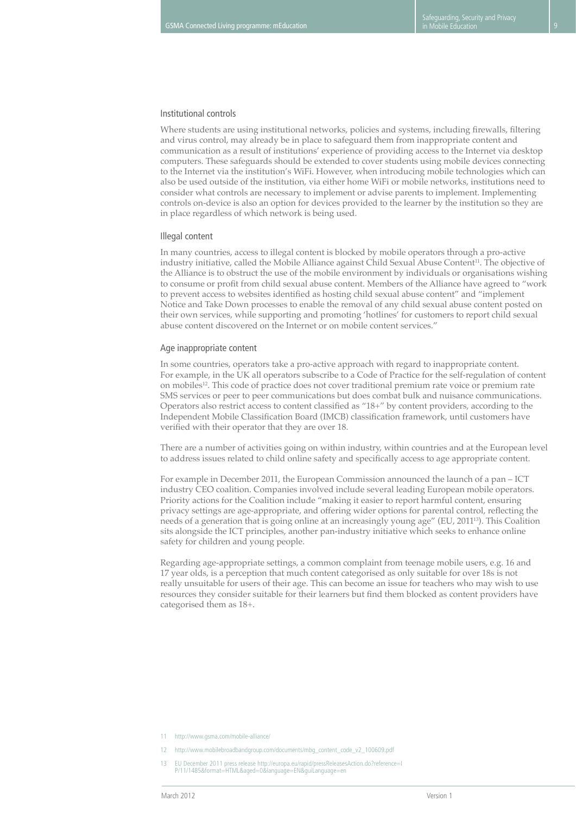#### Institutional controls

Where students are using institutional networks, policies and systems, including firewalls, filtering and virus control, may already be in place to safeguard them from inappropriate content and communication as a result of institutions' experience of providing access to the Internet via desktop computers. These safeguards should be extended to cover students using mobile devices connecting to the Internet via the institution's WiFi. However, when introducing mobile technologies which can also be used outside of the institution, via either home WiFi or mobile networks, institutions need to consider what controls are necessary to implement or advise parents to implement. Implementing controls on-device is also an option for devices provided to the learner by the institution so they are in place regardless of which network is being used.

#### Illegal content

In many countries, access to illegal content is blocked by mobile operators through a pro-active industry initiative, called the Mobile Alliance against Child Sexual Abuse Content<sup>11</sup>. The objective of the Alliance is to obstruct the use of the mobile environment by individuals or organisations wishing to consume or profit from child sexual abuse content. Members of the Alliance have agreed to "work to prevent access to websites identified as hosting child sexual abuse content" and "implement Notice and Take Down processes to enable the removal of any child sexual abuse content posted on their own services, while supporting and promoting 'hotlines' for customers to report child sexual abuse content discovered on the Internet or on mobile content services."

#### Age inappropriate content

In some countries, operators take a pro-active approach with regard to inappropriate content. For example, in the UK all operators subscribe to a Code of Practice for the self-regulation of content on mobiles<sup>12</sup>. This code of practice does not cover traditional premium rate voice or premium rate SMS services or peer to peer communications but does combat bulk and nuisance communications. Operators also restrict access to content classified as "18+" by content providers, according to the Independent Mobile Classification Board (IMCB) classification framework, until customers have verified with their operator that they are over 18.

There are a number of activities going on within industry, within countries and at the European level to address issues related to child online safety and specifically access to age appropriate content.

For example in December 2011, the European Commission announced the launch of a pan – ICT industry CEO coalition. Companies involved include several leading European mobile operators. Priority actions for the Coalition include "making it easier to report harmful content, ensuring privacy settings are age-appropriate, and offering wider options for parental control, reflecting the needs of a generation that is going online at an increasingly young age" (EU, 2011<sup>13</sup>). This Coalition sits alongside the ICT principles, another pan-industry initiative which seeks to enhance online safety for children and young people.

Regarding age-appropriate settings, a common complaint from teenage mobile users, e.g. 16 and 17 year olds, is a perception that much content categorised as only suitable for over 18s is not really unsuitable for users of their age. This can become an issue for teachers who may wish to use resources they consider suitable for their learners but find them blocked as content providers have categorised them as 18+.

- 11 http://www.gsma.com/mobile-alliance/
- 12 http://www.mobilebroadbandgroup.com/documents/mbg\_content\_code\_v2\_100609.pdf
- 13 EU December 2011 press release http://europa.eu/rapid/pressReleasesAction.do?reference=I P/11/1485&format=HTML&aged=0&language=EN&guiLanguage=en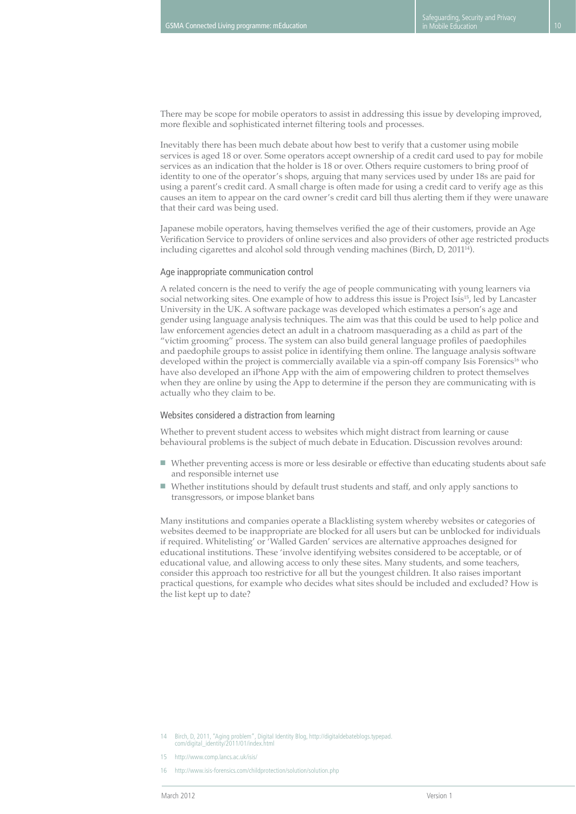There may be scope for mobile operators to assist in addressing this issue by developing improved, more flexible and sophisticated internet filtering tools and processes.

Inevitably there has been much debate about how best to verify that a customer using mobile services is aged 18 or over. Some operators accept ownership of a credit card used to pay for mobile services as an indication that the holder is 18 or over. Others require customers to bring proof of identity to one of the operator's shops, arguing that many services used by under 18s are paid for using a parent's credit card. A small charge is often made for using a credit card to verify age as this causes an item to appear on the card owner's credit card bill thus alerting them if they were unaware that their card was being used.

Japanese mobile operators, having themselves verified the age of their customers, provide an Age Verification Service to providers of online services and also providers of other age restricted products including cigarettes and alcohol sold through vending machines (Birch, D, 2011<sup>14</sup>).

#### Age inappropriate communication control

A related concern is the need to verify the age of people communicating with young learners via social networking sites. One example of how to address this issue is Project Isis<sup>15</sup>, led by Lancaster University in the UK. A software package was developed which estimates a person's age and gender using language analysis techniques. The aim was that this could be used to help police and law enforcement agencies detect an adult in a chatroom masquerading as a child as part of the "victim grooming" process. The system can also build general language profiles of paedophiles and paedophile groups to assist police in identifying them online. The language analysis software developed within the project is commercially available via a spin-off company Isis Forensics<sup>16</sup> who have also developed an iPhone App with the aim of empowering children to protect themselves when they are online by using the App to determine if the person they are communicating with is actually who they claim to be.

#### Websites considered a distraction from learning

Whether to prevent student access to websites which might distract from learning or cause behavioural problems is the subject of much debate in Education. Discussion revolves around:

- Whether preventing access is more or less desirable or effective than educating students about safe and responsible internet use
- Whether institutions should by default trust students and staff, and only apply sanctions to transgressors, or impose blanket bans

Many institutions and companies operate a Blacklisting system whereby websites or categories of websites deemed to be inappropriate are blocked for all users but can be unblocked for individuals if required. Whitelisting' or 'Walled Garden' services are alternative approaches designed for educational institutions. These 'involve identifying websites considered to be acceptable, or of educational value, and allowing access to only these sites. Many students, and some teachers, consider this approach too restrictive for all but the youngest children. It also raises important practical questions, for example who decides what sites should be included and excluded? How is the list kept up to date?

<sup>14</sup> Birch, D, 2011, "Aging problem", Digital Identity Blog, http://digitaldebateblogs.typepad. com/digital\_identity/2011/01/index.html

<sup>15</sup> http://www.comp.lancs.ac.uk/isis/

http://www.isis-forensics.com/childprotection/solution/solution.php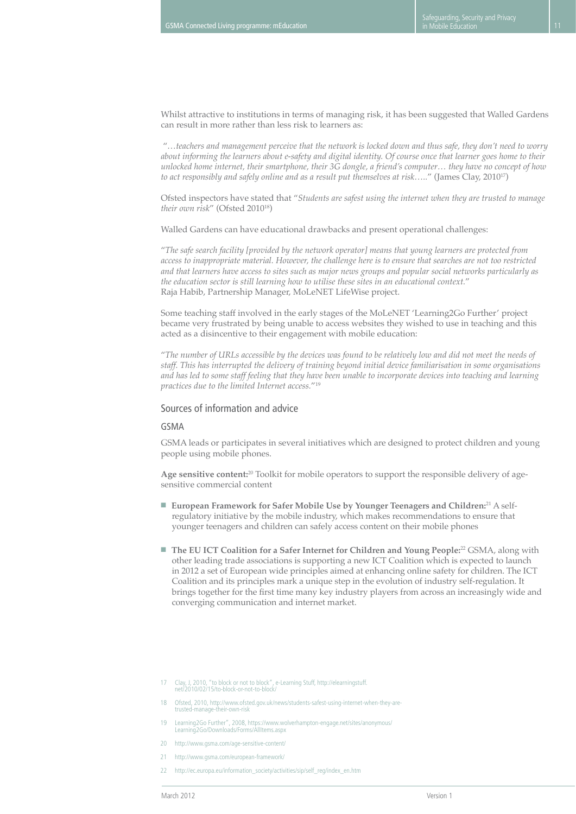Whilst attractive to institutions in terms of managing risk, it has been suggested that Walled Gardens can result in more rather than less risk to learners as:

 "*…teachers and management perceive that the network is locked down and thus safe, they don't need to worry about informing the learners about e-safety and digital identity. Of course once that learner goes home to their unlocked home internet, their smartphone, their 3G dongle, a friend's computer… they have no concept of how to act responsibly and safely online and as a result put themselves at risk…..*" (James Clay, 2010<sup>17</sup>)

Ofsted inspectors have stated that "*Students are safest using the internet when they are trusted to manage their own risk*" (Ofsted 2010<sup>18</sup>)

Walled Gardens can have educational drawbacks and present operational challenges:

"*The safe search facility [provided by the network operator] means that young learners are protected from access to inappropriate material. However, the challenge here is to ensure that searches are not too restricted and that learners have access to sites such as major news groups and popular social networks particularly as the education sector is still learning how to utilise these sites in an educational context.*" Raja Habib, Partnership Manager, MoLeNET LifeWise project.

Some teaching staff involved in the early stages of the MoLeNET 'Learning2Go Further' project became very frustrated by being unable to access websites they wished to use in teaching and this acted as a disincentive to their engagement with mobile education:

"*The number of URLs accessible by the devices was found to be relatively low and did not meet the needs of staff. This has interrupted the delivery of training beyond initial device familiarisation in some organisations and has led to some staff feeling that they have been unable to incorporate devices into teaching and learning practices due to the limited Internet access.*"19

#### Sources of information and advice

#### GSMA

GSMA leads or participates in several initiatives which are designed to protect children and young people using mobile phones.

**Age sensitive content:**20 Toolkit for mobile operators to support the responsible delivery of agesensitive commercial content

- **European Framework for Safer Mobile Use by Younger Teenagers and Children:**<sup>21</sup> A selfregulatory initiative by the mobile industry, which makes recommendations to ensure that younger teenagers and children can safely access content on their mobile phones
- **The EU ICT Coalition for a Safer Internet for Children and Young People:**<sup>22</sup> GSMA, along with other leading trade associations is supporting a new ICT Coalition which is expected to launch in 2012 a set of European wide principles aimed at enhancing online safety for children. The ICT Coalition and its principles mark a unique step in the evolution of industry self-regulation. It brings together for the first time many key industry players from across an increasingly wide and converging communication and internet market.
- <sup>17</sup> Clay, J, 2010, "to block or not to block", e-Learning Stuff, http://elearningstuff. net/2010/02/15/to-block-or-not-to-block/
- 18 Ofsted, 2010, http://www.ofsted.gov.uk/news/students-safest-using-internet-when-they-aretrusted-manage-their-own-risk
- 19 Learning2Go Further", 2008, https://www.wolverhampton-engage.net/sites/anonymous/ Learning2Go/Downloads/Forms/AllItems.aspx
- 20 http://www.gsma.com/age-sensitive-content/
- 21 http://www.gsma.com/european-framework/
- 22 http://ec.europa.eu/information\_society/activities/sip/self\_reg/index\_en.htm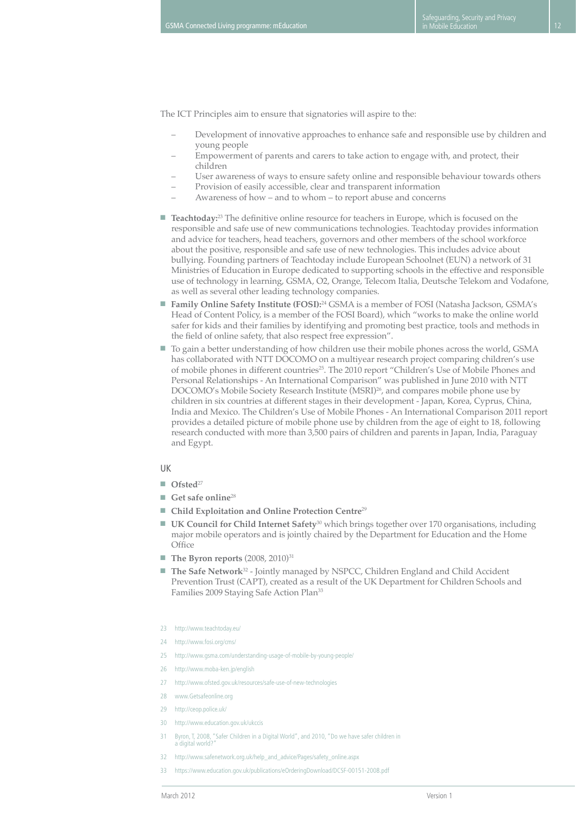The ICT Principles aim to ensure that signatories will aspire to the:

- Development of innovative approaches to enhance safe and responsible use by children and young people
- Empowerment of parents and carers to take action to engage with, and protect, their children
- User awareness of ways to ensure safety online and responsible behaviour towards others
- Provision of easily accessible, clear and transparent information
- Awareness of how and to whom to report abuse and concerns
- **Teachtoday:**<sup>23</sup> The definitive online resource for teachers in Europe, which is focused on the responsible and safe use of new communications technologies. Teachtoday provides information and advice for teachers, head teachers, governors and other members of the school workforce about the positive, responsible and safe use of new technologies. This includes advice about bullying. Founding partners of Teachtoday include European Schoolnet (EUN) a network of 31 Ministries of Education in Europe dedicated to supporting schools in the effective and responsible use of technology in learning, GSMA, O2, Orange, Telecom Italia, Deutsche Telekom and Vodafone, as well as several other leading technology companies.
- **Family Online Safety Institute (FOSI):**<sup>24</sup> GSMA is a member of FOSI (Natasha Jackson, GSMA's Head of Content Policy, is a member of the FOSI Board), which "works to make the online world safer for kids and their families by identifying and promoting best practice, tools and methods in the field of online safety, that also respect free expression".
- To gain a better understanding of how children use their mobile phones across the world, GSMA has collaborated with NTT DOCOMO on a multiyear research project comparing children's use of mobile phones in different countries<sup>25</sup>. The 2010 report "Children's Use of Mobile Phones and Personal Relationships - An International Comparison" was published in June 2010 with NTT DOCOMO's Mobile Society Research Institute (MSRI)26, and compares mobile phone use by children in six countries at different stages in their development - Japan, Korea, Cyprus, China, India and Mexico. The Children's Use of Mobile Phones - An International Comparison 2011 report provides a detailed picture of mobile phone use by children from the age of eight to 18, following research conducted with more than 3,500 pairs of children and parents in Japan, India, Paraguay and Egypt.

#### UK

- **Ofsted**<sup>27</sup>
- Get safe online<sup>28</sup>
- **Child Exploitation and Online Protection Centre**<sup>29</sup>
- **UK Council for Child Internet Safety**<sup>30</sup> which brings together over 170 organisations, including major mobile operators and is jointly chaired by the Department for Education and the Home **Office**
- **The Byron reports** (2008, 2010)<sup>31</sup>
- **The Safe Network**<sup>32</sup> Jointly managed by NSPCC, Children England and Child Accident Prevention Trust (CAPT), created as a result of the UK Department for Children Schools and Families 2009 Staying Safe Action Plan33
- 23 http://www.teachtoday.eu/
- 24 http://www.fosi.org/cms/
- 25 http://www.gsma.com/understanding-usage-of-mobile-by-young-people/
- 26 http://www.moba-ken.jp/english
- 27 http://www.ofsted.gov.uk/resources/safe-use-of-new-technologies
- 28 www.Getsafeonline.org
- 29 http://ceop.police.uk/
- 30 http://www.education.gov.uk/ukccis
- 31 Byron, T, 2008, "Safer Children in a Digital World", and 2010, "Do we have safer children in a digital world?"
- 32 http://www.safenetwork.org.uk/help\_and\_advice/Pages/safety\_online.aspx
- 33 https://www.education.gov.uk/publications/eOrderingDownload/DCSE-00151-2008.pdf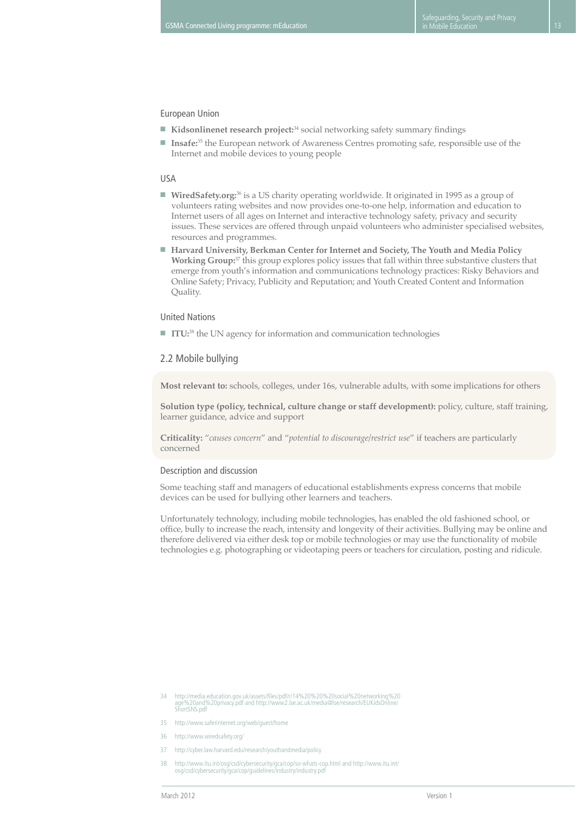#### European Union

- **Kidsonlinenet research project:**<sup>34</sup> social networking safety summary findings
- **Insafe:**<sup>35</sup> the European network of Awareness Centres promoting safe, responsible use of the Internet and mobile devices to young people

#### USA

- **WiredSafety.org:**<sup>36</sup> is a US charity operating worldwide. It originated in 1995 as a group of volunteers rating websites and now provides one-to-one help, information and education to Internet users of all ages on Internet and interactive technology safety, privacy and security issues. These services are offered through unpaid volunteers who administer specialised websites, resources and programmes.
- Harvard University, Berkman Center for Internet and Society, The Youth and Media Policy **Working Group:**37 this group explores policy issues that fall within three substantive clusters that emerge from youth's information and communications technology practices: Risky Behaviors and Online Safety; Privacy, Publicity and Reputation; and Youth Created Content and Information Quality.

#### United Nations

■ **ITU**:<sup>38</sup> the UN agency for information and communication technologies

#### 2.2 Mobile bullying

**Most relevant to:** schools, colleges, under 16s, vulnerable adults, with some implications for others

**Solution type (policy, technical, culture change or staff development):** policy, culture, staff training, learner guidance, advice and support

**Criticality:** "*causes concern*" and "*potential to discourage/restrict use*" if teachers are particularly concerned

#### Description and discussion

Some teaching staff and managers of educational establishments express concerns that mobile devices can be used for bullying other learners and teachers.

Unfortunately technology, including mobile technologies, has enabled the old fashioned school, or office, bully to increase the reach, intensity and longevity of their activities. Bullying may be online and therefore delivered via either desk top or mobile technologies or may use the functionality of mobile technologies e.g. photographing or videotaping peers or teachers for circulation, posting and ridicule.

- 36 http://www.wiredsafety.org/
- 37 http://cyber.law.harvard.edu/research/youthandmedia/policy
- 38 http://www.itu.int/osg/csd/cybersecurity/gca/cop/so-whats-cop.html and http://www.itu.int/ osg/csd/cybersecurity/gca/cop/guidelines/industry/industry.pdf

<sup>34</sup> http://media.education.gov.uk/assets/files/pdf/r/14%20%20%20social%20networking%20 age%20and%20privacy.pdf and http://www2.lse.ac.uk/media@lse/research/EUKidsOnline/ age%zuanu

<sup>35</sup> http://www.saferinternet.org/web/guest/home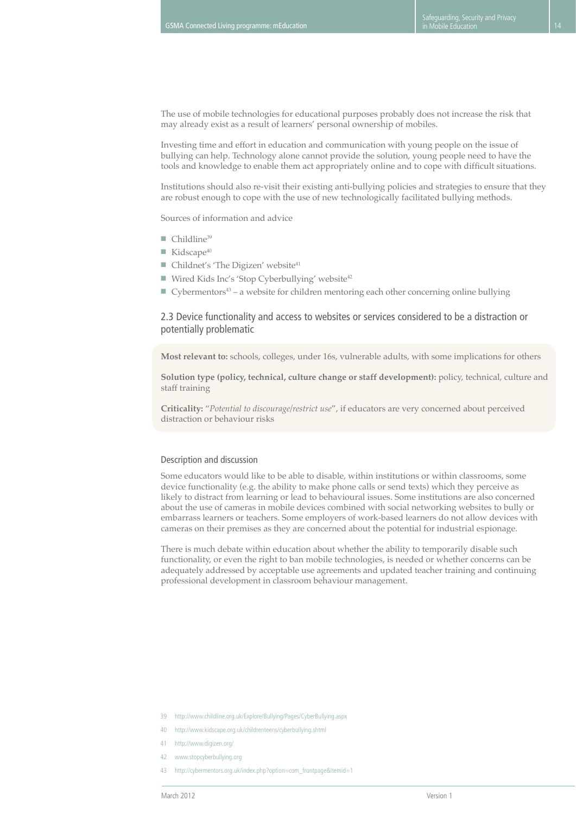The use of mobile technologies for educational purposes probably does not increase the risk that may already exist as a result of learners' personal ownership of mobiles.

Investing time and effort in education and communication with young people on the issue of bullying can help. Technology alone cannot provide the solution, young people need to have the tools and knowledge to enable them act appropriately online and to cope with difficult situations.

Institutions should also re-visit their existing anti-bullying policies and strategies to ensure that they are robust enough to cope with the use of new technologically facilitated bullying methods.

Sources of information and advice

- $\blacksquare$  Childline<sup>39</sup>
- $\blacksquare$  Kidscape<sup>40</sup>
- $\blacksquare$  Childnet's 'The Digizen' website<sup>41</sup>
- Wired Kids Inc's 'Stop Cyberbullying' website<sup>42</sup>
- Cybermentors<sup>43</sup> a website for children mentoring each other concerning online bullying

#### 2.3 Device functionality and access to websites or services considered to be a distraction or potentially problematic

**Most relevant to:** schools, colleges, under 16s, vulnerable adults, with some implications for others

**Solution type (policy, technical, culture change or staff development):** policy, technical, culture and staff training

**Criticality:** "*Potential to discourage/restrict use*", if educators are very concerned about perceived distraction or behaviour risks

#### Description and discussion

Some educators would like to be able to disable, within institutions or within classrooms, some device functionality (e.g. the ability to make phone calls or send texts) which they perceive as likely to distract from learning or lead to behavioural issues. Some institutions are also concerned about the use of cameras in mobile devices combined with social networking websites to bully or embarrass learners or teachers. Some employers of work-based learners do not allow devices with cameras on their premises as they are concerned about the potential for industrial espionage.

There is much debate within education about whether the ability to temporarily disable such functionality, or even the right to ban mobile technologies, is needed or whether concerns can be adequately addressed by acceptable use agreements and updated teacher training and continuing professional development in classroom behaviour management.

- 39 http://www.childline.org.uk/Explore/Bullying/Pages/CyberBullying.aspx
- 40 http://www.kidscape.org.uk/childrenteens/cyberbullying.shtml
- 41 http://www.digizen.org/
- 42 www.stopcyberbullying.org
- 43 http://cybermentors.org.uk/index.php?option=com\_frontpage&Itemid=1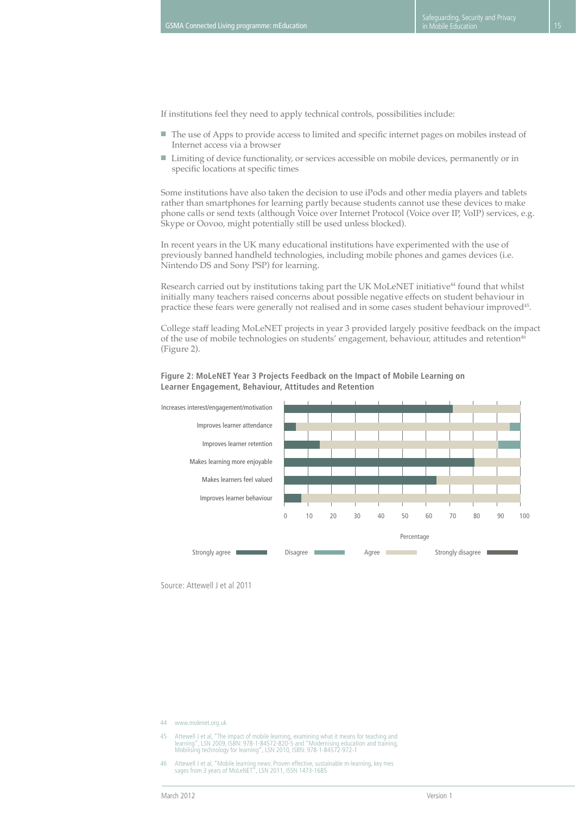If institutions feel they need to apply technical controls, possibilities include:

- The use of Apps to provide access to limited and specific internet pages on mobiles instead of Internet access via a browser
- Limiting of device functionality, or services accessible on mobile devices, permanently or in specific locations at specific times

Some institutions have also taken the decision to use iPods and other media players and tablets rather than smartphones for learning partly because students cannot use these devices to make phone calls or send texts (although Voice over Internet Protocol (Voice over IP, VoIP) services, e.g. Skype or Oovoo, might potentially still be used unless blocked).

In recent years in the UK many educational institutions have experimented with the use of previously banned handheld technologies, including mobile phones and games devices (i.e. Nintendo DS and Sony PSP) for learning.

Research carried out by institutions taking part the UK MoLeNET initiative<sup>44</sup> found that whilst initially many teachers raised concerns about possible negative effects on student behaviour in practice these fears were generally not realised and in some cases student behaviour improved45.

College staff leading MoLeNET projects in year 3 provided largely positive feedback on the impact of the use of mobile technologies on students' engagement, behaviour, attitudes and retention<sup>46</sup> (Figure 2).

#### **Figure 2: MoLeNET Year 3 Projects Feedback on the Impact of Mobile Learning on Learner Engagement, Behaviour, Attitudes and Retention**



Source: Attewell J et al 2011

44 www.molenet.org.uk

45 Attewell J et al, "The impact of mobile learning, examining what it means for teaching and<br>learning", LSN 2009, ISBN: 978-1-845272-820-5 and "Modernising education and training,<br>Mobilising technology for learning", LSN

46 Attewell J et al, "Mobile learning news: Proven effective, sustainable m-learning, key mes sages from 3 years of MoLeNET", LSN 2011, ISSN 1473-1685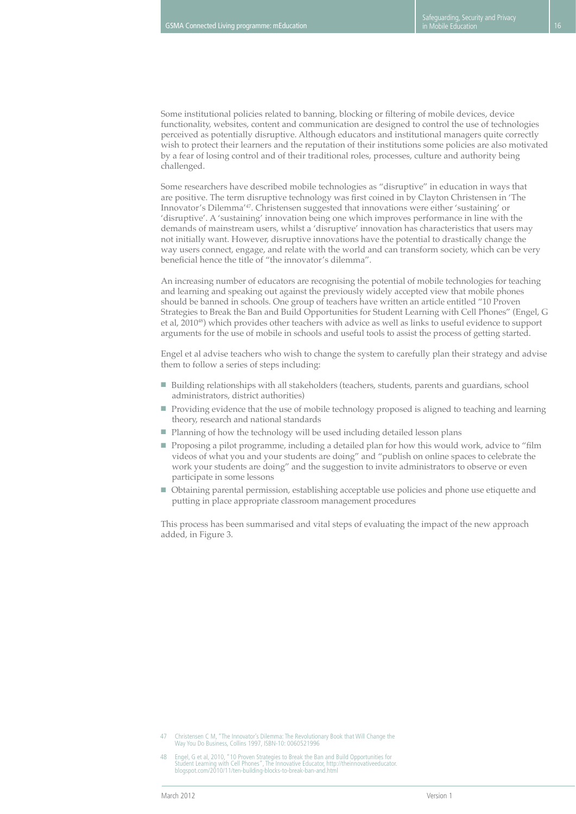Some institutional policies related to banning, blocking or filtering of mobile devices, device functionality, websites, content and communication are designed to control the use of technologies perceived as potentially disruptive. Although educators and institutional managers quite correctly wish to protect their learners and the reputation of their institutions some policies are also motivated by a fear of losing control and of their traditional roles, processes, culture and authority being challenged.

Some researchers have described mobile technologies as "disruptive" in education in ways that are positive. The term disruptive technology was first coined in by Clayton Christensen in 'The Innovator's Dilemma'47. Christensen suggested that innovations were either 'sustaining' or 'disruptive'. A 'sustaining' innovation being one which improves performance in line with the demands of mainstream users, whilst a 'disruptive' innovation has characteristics that users may not initially want. However, disruptive innovations have the potential to drastically change the way users connect, engage, and relate with the world and can transform society, which can be very beneficial hence the title of "the innovator's dilemma".

An increasing number of educators are recognising the potential of mobile technologies for teaching and learning and speaking out against the previously widely accepted view that mobile phones should be banned in schools. One group of teachers have written an article entitled "10 Proven Strategies to Break the Ban and Build Opportunities for Student Learning with Cell Phones" (Engel, G et al, 201048) which provides other teachers with advice as well as links to useful evidence to support arguments for the use of mobile in schools and useful tools to assist the process of getting started.

Engel et al advise teachers who wish to change the system to carefully plan their strategy and advise them to follow a series of steps including:

- Building relationships with all stakeholders (teachers, students, parents and guardians, school administrators, district authorities)
- Providing evidence that the use of mobile technology proposed is aligned to teaching and learning theory, research and national standards
- Planning of how the technology will be used including detailed lesson plans
- Proposing a pilot programme, including a detailed plan for how this would work, advice to "film videos of what you and your students are doing" and "publish on online spaces to celebrate the work your students are doing" and the suggestion to invite administrators to observe or even participate in some lessons
- Obtaining parental permission, establishing acceptable use policies and phone use etiquette and putting in place appropriate classroom management procedures

This process has been summarised and vital steps of evaluating the impact of the new approach added, in Figure 3.

<sup>47</sup> Christensen C M, "The Innovator's Dilemma: The Revolutionary Book that Will Change the Way You Do Business, Collins 1997, ISBN-10: 0060521996

<sup>48</sup> Engel, G et al, 2010, "10 Proven Strategies to Break the Ban and Build Opportunities for Student Learning with Cell Phones", The Innovative Educator, http://theinnovativeeducator. blogspot.com/2010/11/ten-building-blocks-to-break-ban-and.html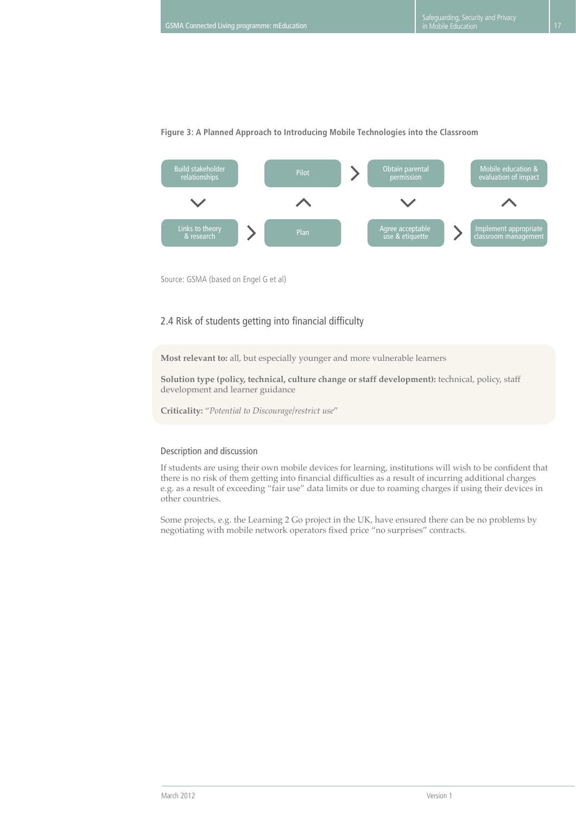

#### **Figure 3: A Planned Approach to Introducing Mobile Technologies into the Classroom**

Source: GSMA (based on Engel G et al)

#### 2.4 Risk of students getting into financial difficulty

**Most relevant to:** all, but especially younger and more vulnerable learners

**Solution type (policy, technical, culture change or staff development):** technical, policy, staff development and learner guidance

**Criticality:** "*Potential to Discourage/restrict use*"

#### Description and discussion

If students are using their own mobile devices for learning, institutions will wish to be confident that there is no risk of them getting into financial difficulties as a result of incurring additional charges e.g. as a result of exceeding "fair use" data limits or due to roaming charges if using their devices in other countries.

Some projects, e.g. the Learning 2 Go project in the UK, have ensured there can be no problems by negotiating with mobile network operators fixed price "no surprises" contracts.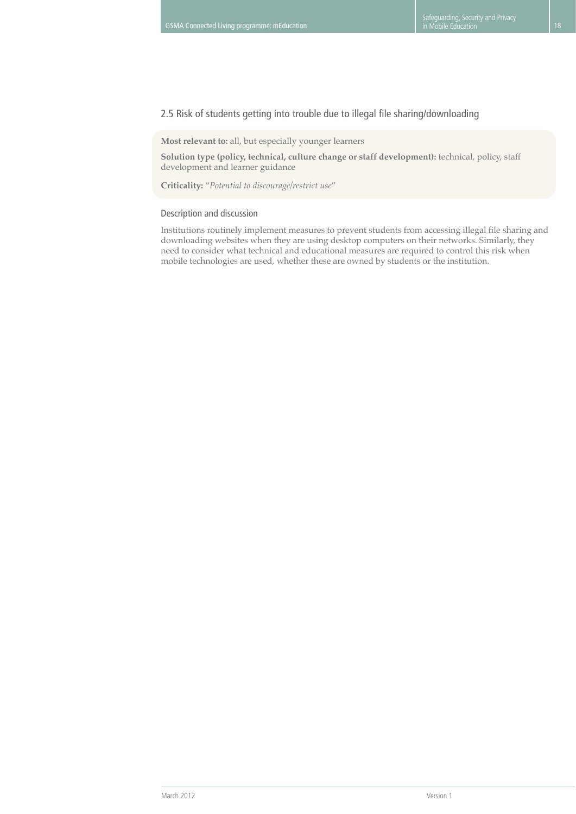### 2.5 Risk of students getting into trouble due to illegal file sharing/downloading

**Most relevant to:** all, but especially younger learners

**Solution type (policy, technical, culture change or staff development):** technical, policy, staff development and learner guidance

**Criticality:** "*Potential to discourage/restrict use*"

#### Description and discussion

Institutions routinely implement measures to prevent students from accessing illegal file sharing and downloading websites when they are using desktop computers on their networks. Similarly, they need to consider what technical and educational measures are required to control this risk when mobile technologies are used, whether these are owned by students or the institution.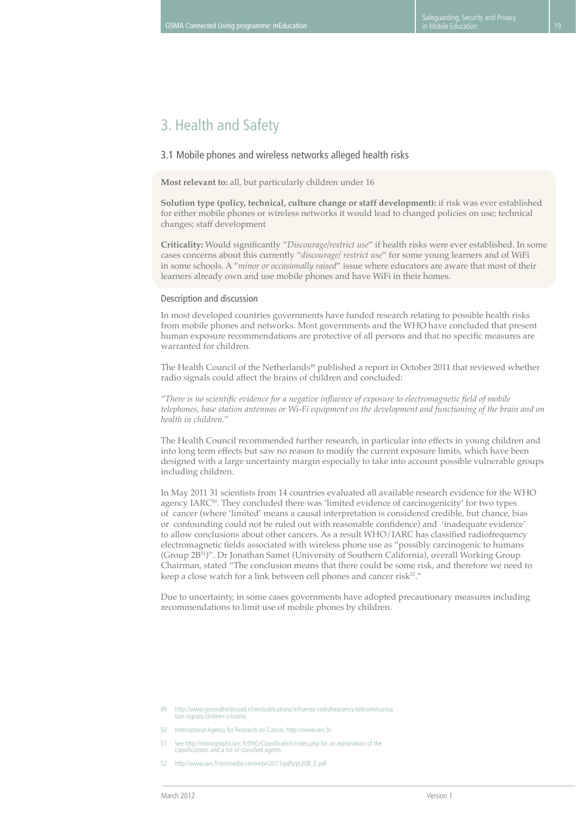# 3. Health and Safety

### 3.1 Mobile phones and wireless networks alleged health risks

**Most relevant to:** all, but particularly children under 16

**Solution type (policy, technical, culture change or staff development):** if risk was ever established for either mobile phones or wireless networks it would lead to changed policies on use; technical changes; staff development

**Criticality:** Would significantly "*Discourage/restrict use*" if health risks were ever established. In some cases concerns about this currently "*discourage/ restrict use*" for some young learners and of WiFi in some schools. A "*minor or occasionally raised*" issue where educators are aware that most of their learners already own and use mobile phones and have WiFi in their homes.

#### Description and discussion

In most developed countries governments have funded research relating to possible health risks from mobile phones and networks. Most governments and the WHO have concluded that present human exposure recommendations are protective of all persons and that no specific measures are warranted for children.

The Health Council of the Netherlands<sup>49</sup> published a report in October 2011 that reviewed whether radio signals could affect the brains of children and concluded:

"*There is no scientific evidence for a negative influence of exposure to electromagnetic field of mobile telephones, base station antennas or Wi-Fi equipment on the development and functioning of the brain and on health in children.*"

The Health Council recommended further research, in particular into effects in young children and into long term effects but saw no reason to modify the current exposure limits, which have been designed with a large uncertainty margin especially to take into account possible vulnerable groups including children.

In May 2011 31 scientists from 14 countries evaluated all available research evidence for the WHO agency IARC<sup>50</sup>. They concluded there was 'limited evidence of carcinogenicity' for two types of cancer (where 'limited' means a causal interpretation is considered credible, but chance, bias or confounding could not be ruled out with reasonable confidence) and 'inadequate evidence' to allow conclusions about other cancers. As a result WHO/IARC has classified radiofrequency electromagnetic fields associated with wireless phone use as "possibly carcinogenic to humans (Group 2B<sup>51</sup>)". Dr Jonathan Samet (University of Southern California), overall Working Group Chairman, stated "The conclusion means that there could be some risk, and therefore we need to keep a close watch for a link between cell phones and cancer risk<sup>52</sup>."

Due to uncertainty, in some cases governments have adopted precautionary measures including recommendations to limit use of mobile phones by children.

<sup>49</sup> http://www.gezondheidsraad.nl/en/publications/influence-radiofrequency-telecommunica tion-signals-children-s-brains

<sup>50</sup> International Agency for Research on Cancer, http://www.iarc.fr/

<sup>51</sup> See http://monographs.iarc.fr/ENG/Classification/index.php for an explanation of the classifications and a list of classified agents

<sup>52</sup> http://www.iarc.fr/en/media-centre/pr/2011/pdfs/pr208\_E.pdf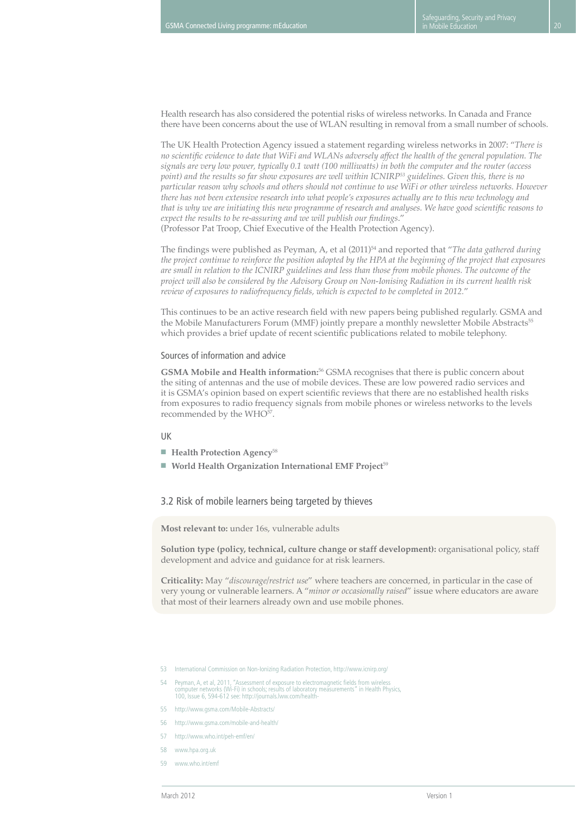Health research has also considered the potential risks of wireless networks. In Canada and France there have been concerns about the use of WLAN resulting in removal from a small number of schools.

The UK Health Protection Agency issued a statement regarding wireless networks in 2007: "*There is no scientific evidence to date that WiFi and WLANs adversely affect the health of the general population. The signals are very low power, typically 0.1 watt (100 milliwatts) in both the computer and the router (access point) and the results so far show exposures are well within ICNIRP53 guidelines. Given this, there is no particular reason why schools and others should not continue to use WiFi or other wireless networks. However there has not been extensive research into what people's exposures actually are to this new technology and that is why we are initiating this new programme of research and analyses. We have good scientific reasons to expect the results to be re-assuring and we will publish our findings*." (Professor Pat Troop, Chief Executive of the Health Protection Agency).

The findings were published as Peyman, A, et al (2011)<sup>54</sup> and reported that "*The data gathered during the project continue to reinforce the position adopted by the HPA at the beginning of the project that exposures are small in relation to the ICNIRP guidelines and less than those from mobile phones. The outcome of the project will also be considered by the Advisory Group on Non-Ionising Radiation in its current health risk review of exposures to radiofrequency fields, which is expected to be completed in 2012.*"

This continues to be an active research field with new papers being published regularly. GSMA and the Mobile Manufacturers Forum (MMF) jointly prepare a monthly newsletter Mobile Abstracts<sup>55</sup> which provides a brief update of recent scientific publications related to mobile telephony.

#### Sources of information and advice

**GSMA Mobile and Health information:**<sup>56</sup> GSMA recognises that there is public concern about the siting of antennas and the use of mobile devices. These are low powered radio services and it is GSMA's opinion based on expert scientific reviews that there are no established health risks from exposures to radio frequency signals from mobile phones or wireless networks to the levels recommended by the WHO<sup>57</sup>.

#### UK

- **Health Protection Agency**<sup>58</sup>
- World Health Organization International EMF Project<sup>59</sup>

#### 3.2 Risk of mobile learners being targeted by thieves

**Most relevant to:** under 16s, vulnerable adults

**Solution type (policy, technical, culture change or staff development):** organisational policy, staff development and advice and guidance for at risk learners.

**Criticality:** May "*discourage/restrict use*" where teachers are concerned, in particular in the case of very young or vulnerable learners. A "*minor or occasionally raised*" issue where educators are aware that most of their learners already own and use mobile phones.

- 53 International Commission on Non-Ionizing Radiation Protection, http://www.icnirp.org/
- 54 Peyman, A, et al, 2011, "Assessment of exposure to electromagnetic fields from wireless computer networks (Wi-Fi) in schools; results of laboratory measurements" in Health Physics, 100, Issue 6, 594-612 see: http://journals.lww.com/health-
- 55 http://www.gsma.com/Mobile-Abstracts/
- 56 http://www.gsma.com/mobile-and-health/
- 57 http://www.who.int/peh-emf/en/
- 58 www.hpa.org.uk
- 59 www.who.int/emf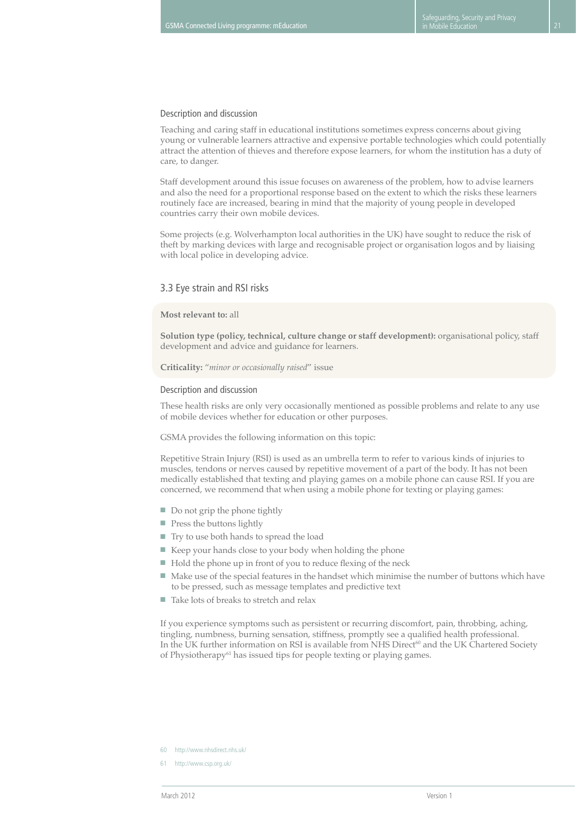#### Description and discussion

Teaching and caring staff in educational institutions sometimes express concerns about giving young or vulnerable learners attractive and expensive portable technologies which could potentially attract the attention of thieves and therefore expose learners, for whom the institution has a duty of care, to danger.

Staff development around this issue focuses on awareness of the problem, how to advise learners and also the need for a proportional response based on the extent to which the risks these learners routinely face are increased, bearing in mind that the majority of young people in developed countries carry their own mobile devices.

Some projects (e.g. Wolverhampton local authorities in the UK) have sought to reduce the risk of theft by marking devices with large and recognisable project or organisation logos and by liaising with local police in developing advice.

#### 3.3 Eye strain and RSI risks

#### **Most relevant to:** all

**Solution type (policy, technical, culture change or staff development):** organisational policy, staff development and advice and guidance for learners.

**Criticality:** "*minor or occasionally raised*" issue

#### Description and discussion

These health risks are only very occasionally mentioned as possible problems and relate to any use of mobile devices whether for education or other purposes.

GSMA provides the following information on this topic:

Repetitive Strain Injury (RSI) is used as an umbrella term to refer to various kinds of injuries to muscles, tendons or nerves caused by repetitive movement of a part of the body. It has not been medically established that texting and playing games on a mobile phone can cause RSI. If you are concerned, we recommend that when using a mobile phone for texting or playing games:

- Do not grip the phone tightly
- Press the buttons lightly
- Try to use both hands to spread the load
- Keep your hands close to your body when holding the phone
- Hold the phone up in front of you to reduce flexing of the neck
- Make use of the special features in the handset which minimise the number of buttons which have to be pressed, such as message templates and predictive text
- Take lots of breaks to stretch and relax

If you experience symptoms such as persistent or recurring discomfort, pain, throbbing, aching, tingling, numbness, burning sensation, stiffness, promptly see a qualified health professional. In the UK further information on RSI is available from NHS Direct<sup>60</sup> and the UK Chartered Society of Physiotherapy $61$  has issued tips for people texting or playing games.

- 60 http://www.nhsdirect.nhs.uk/
- 61 http://www.csp.org.uk/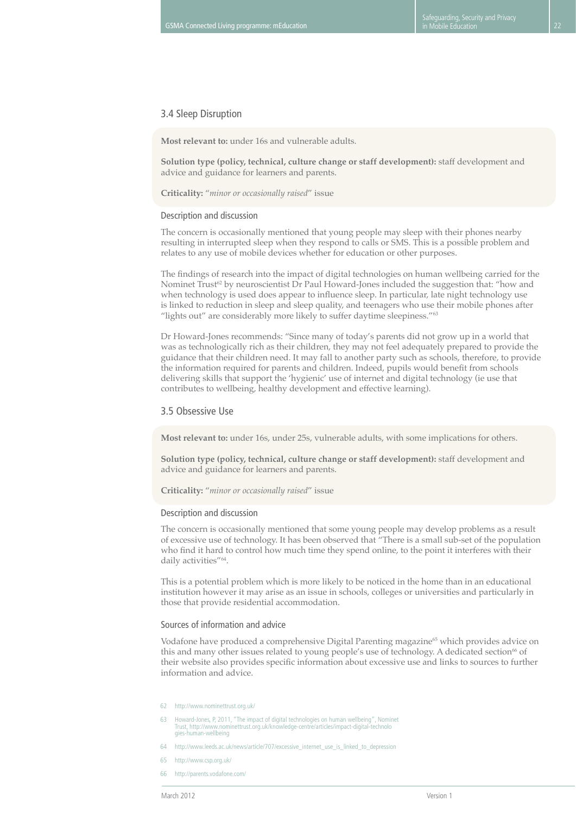#### 3.4 Sleep Disruption

**Most relevant to:** under 16s and vulnerable adults.

**Solution type (policy, technical, culture change or staff development):** staff development and advice and guidance for learners and parents.

**Criticality:** "*minor or occasionally raised*" issue

#### Description and discussion

The concern is occasionally mentioned that young people may sleep with their phones nearby resulting in interrupted sleep when they respond to calls or SMS. This is a possible problem and relates to any use of mobile devices whether for education or other purposes.

The findings of research into the impact of digital technologies on human wellbeing carried for the Nominet Trust<sup>62</sup> by neuroscientist Dr Paul Howard-Jones included the suggestion that: "how and when technology is used does appear to influence sleep. In particular, late night technology use is linked to reduction in sleep and sleep quality, and teenagers who use their mobile phones after "lights out" are considerably more likely to suffer daytime sleepiness."<sup>63</sup>

Dr Howard-Jones recommends: "Since many of today's parents did not grow up in a world that was as technologically rich as their children, they may not feel adequately prepared to provide the guidance that their children need. It may fall to another party such as schools, therefore, to provide the information required for parents and children. Indeed, pupils would benefit from schools delivering skills that support the 'hygienic' use of internet and digital technology (ie use that contributes to wellbeing, healthy development and effective learning).

#### 3.5 Obsessive Use

**Most relevant to:** under 16s, under 25s, vulnerable adults, with some implications for others.

**Solution type (policy, technical, culture change or staff development):** staff development and advice and guidance for learners and parents.

**Criticality:** "*minor or occasionally raised*" issue

#### Description and discussion

The concern is occasionally mentioned that some young people may develop problems as a result of excessive use of technology. It has been observed that "There is a small sub-set of the population who find it hard to control how much time they spend online, to the point it interferes with their daily activities"<sup>64</sup>.

This is a potential problem which is more likely to be noticed in the home than in an educational institution however it may arise as an issue in schools, colleges or universities and particularly in those that provide residential accommodation.

#### Sources of information and advice

Vodafone have produced a comprehensive Digital Parenting magazine<sup>65</sup> which provides advice on this and many other issues related to young people's use of technology. A dedicated section<sup>66</sup> of their website also provides specific information about excessive use and links to sources to further information and advice.

- 62 http://www.nominettrust.org.uk/
- 63 Howard-Jones, P, 2011, "The impact of digital technologies on human wellbeing", Nominet Trust, http://www.nominettrust.org.uk/knowledge-centre/articles/impact-digital-technolo gies-human-wellbeing
- 64 http://www.leeds.ac.uk/news/article/707/excessive\_internet\_use\_is\_linked\_to\_depression
- 65 http://www.csp.org.uk/
- 66 http://parents.vodafone.com/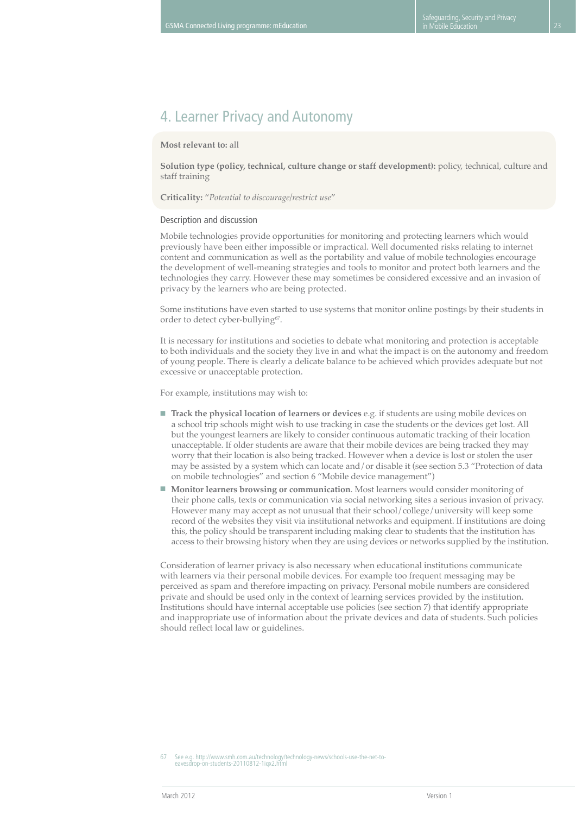## 4. Learner Privacy and Autonomy

#### **Most relevant to:** all

**Solution type (policy, technical, culture change or staff development):** policy, technical, culture and staff training

#### **Criticality:** "*Potential to discourage/restrict use*"

#### Description and discussion

Mobile technologies provide opportunities for monitoring and protecting learners which would previously have been either impossible or impractical. Well documented risks relating to internet content and communication as well as the portability and value of mobile technologies encourage the development of well-meaning strategies and tools to monitor and protect both learners and the technologies they carry. However these may sometimes be considered excessive and an invasion of privacy by the learners who are being protected.

Some institutions have even started to use systems that monitor online postings by their students in order to detect cyber-bullying<sup>67</sup>.

It is necessary for institutions and societies to debate what monitoring and protection is acceptable to both individuals and the society they live in and what the impact is on the autonomy and freedom of young people. There is clearly a delicate balance to be achieved which provides adequate but not excessive or unacceptable protection.

For example, institutions may wish to:

- **Track the physical location of learners or devices** e.g. if students are using mobile devices on a school trip schools might wish to use tracking in case the students or the devices get lost. All but the youngest learners are likely to consider continuous automatic tracking of their location unacceptable. If older students are aware that their mobile devices are being tracked they may worry that their location is also being tracked. However when a device is lost or stolen the user may be assisted by a system which can locate and/or disable it (see section 5.3 "Protection of data on mobile technologies" and section 6 "Mobile device management")
- **Monitor learners browsing or communication**. Most learners would consider monitoring of their phone calls, texts or communication via social networking sites a serious invasion of privacy. However many may accept as not unusual that their school/college/university will keep some record of the websites they visit via institutional networks and equipment. If institutions are doing this, the policy should be transparent including making clear to students that the institution has access to their browsing history when they are using devices or networks supplied by the institution.

Consideration of learner privacy is also necessary when educational institutions communicate with learners via their personal mobile devices. For example too frequent messaging may be perceived as spam and therefore impacting on privacy. Personal mobile numbers are considered private and should be used only in the context of learning services provided by the institution. Institutions should have internal acceptable use policies (see section 7) that identify appropriate and inappropriate use of information about the private devices and data of students. Such policies should reflect local law or guidelines.

67 See e.g. http://www.smh.com.au/technology/technology-news/schools-use-the-net-to-eavesdrop-on-students-20110812-1iqx2.html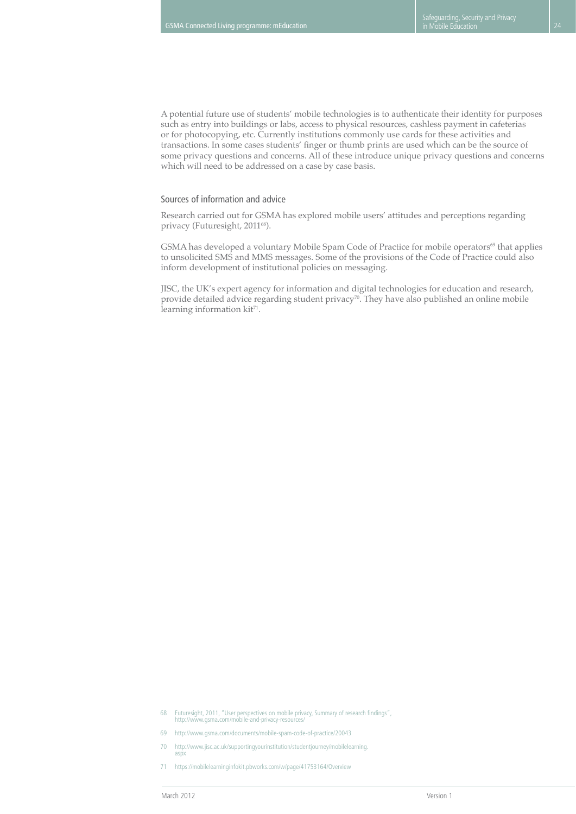A potential future use of students' mobile technologies is to authenticate their identity for purposes such as entry into buildings or labs, access to physical resources, cashless payment in cafeterias or for photocopying, etc. Currently institutions commonly use cards for these activities and transactions. In some cases students' finger or thumb prints are used which can be the source of some privacy questions and concerns. All of these introduce unique privacy questions and concerns which will need to be addressed on a case by case basis.

#### Sources of information and advice

Research carried out for GSMA has explored mobile users' attitudes and perceptions regarding privacy (Futuresight, 2011<sup>68</sup>).

GSMA has developed a voluntary Mobile Spam Code of Practice for mobile operators<sup>69</sup> that applies to unsolicited SMS and MMS messages. Some of the provisions of the Code of Practice could also inform development of institutional policies on messaging.

JISC, the UK's expert agency for information and digital technologies for education and research, provide detailed advice regarding student privacy<sup>70</sup>. They have also published an online mobile learning information  $kit^{71}$ .

- 70 http://www.jisc.ac.uk/supportingyourinstitution/studentjourney/mobilelearning. aspx
- 71 https://mobilelearninginfokit.pbworks.com/w/page/41753164/Overview

<sup>68</sup> Futuresight, 2011, "User perspectives on mobile privacy, Summary of research findings", http://www.gsma.com/mobile-and-privacy-resources/

<sup>69</sup> http://www.gsma.com/documents/mobile-spam-code-of-practice/20043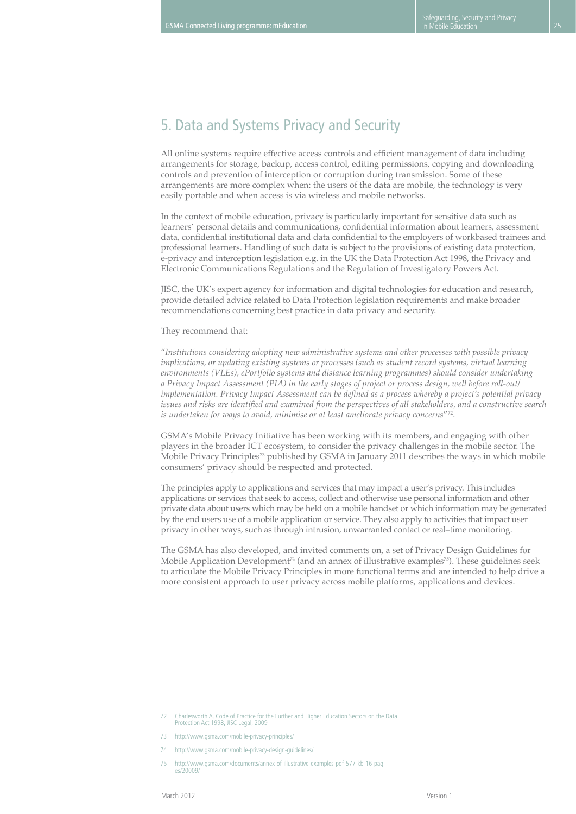# 5. Data and Systems Privacy and Security

All online systems require effective access controls and efficient management of data including arrangements for storage, backup, access control, editing permissions, copying and downloading controls and prevention of interception or corruption during transmission. Some of these arrangements are more complex when: the users of the data are mobile, the technology is very easily portable and when access is via wireless and mobile networks.

In the context of mobile education, privacy is particularly important for sensitive data such as learners' personal details and communications, confidential information about learners, assessment data, confidential institutional data and data confidential to the employers of workbased trainees and professional learners. Handling of such data is subject to the provisions of existing data protection, e-privacy and interception legislation e.g. in the UK the Data Protection Act 1998, the Privacy and Electronic Communications Regulations and the Regulation of Investigatory Powers Act.

JISC, the UK's expert agency for information and digital technologies for education and research, provide detailed advice related to Data Protection legislation requirements and make broader recommendations concerning best practice in data privacy and security.

#### They recommend that:

"*Institutions considering adopting new administrative systems and other processes with possible privacy implications, or updating existing systems or processes (such as student record systems, virtual learning environments (VLEs), ePortfolio systems and distance learning programmes) should consider undertaking a Privacy Impact Assessment (PIA) in the early stages of project or process design, well before roll-out/ implementation. Privacy Impact Assessment can be defined as a process whereby a project's potential privacy issues and risks are identified and examined from the perspectives of all stakeholders, and a constructive search is undertaken for ways to avoid, minimise or at least ameliorate privacy concerns*"72.

GSMA's Mobile Privacy Initiative has been working with its members, and engaging with other players in the broader ICT ecosystem, to consider the privacy challenges in the mobile sector. The Mobile Privacy Principles<sup>73</sup> published by GSMA in January 2011 describes the ways in which mobile consumers' privacy should be respected and protected.

The principles apply to applications and services that may impact a user's privacy. This includes applications or services that seek to access, collect and otherwise use personal information and other private data about users which may be held on a mobile handset or which information may be generated by the end users use of a mobile application or service. They also apply to activities that impact user privacy in other ways, such as through intrusion, unwarranted contact or real–time monitoring.

The GSMA has also developed, and invited comments on, a set of Privacy Design Guidelines for Mobile Application Development<sup>74</sup> (and an annex of illustrative examples<sup>75</sup>). These guidelines seek to articulate the Mobile Privacy Principles in more functional terms and are intended to help drive a more consistent approach to user privacy across mobile platforms, applications and devices.

75 http://www.gsma.com/documents/annex-of-illustrative-examples-pdf-577-kb-16-pag es/20009/

<sup>72</sup> Charlesworth A, Code of Practice for the Further and Higher Education Sectors on the Data Protection Act 1998, JISC Legal, 2009

<sup>73</sup> http://www.gsma.com/mobile-privacy-principles/

<sup>74</sup> http://www.gsma.com/mobile-privacy-design-guidelines/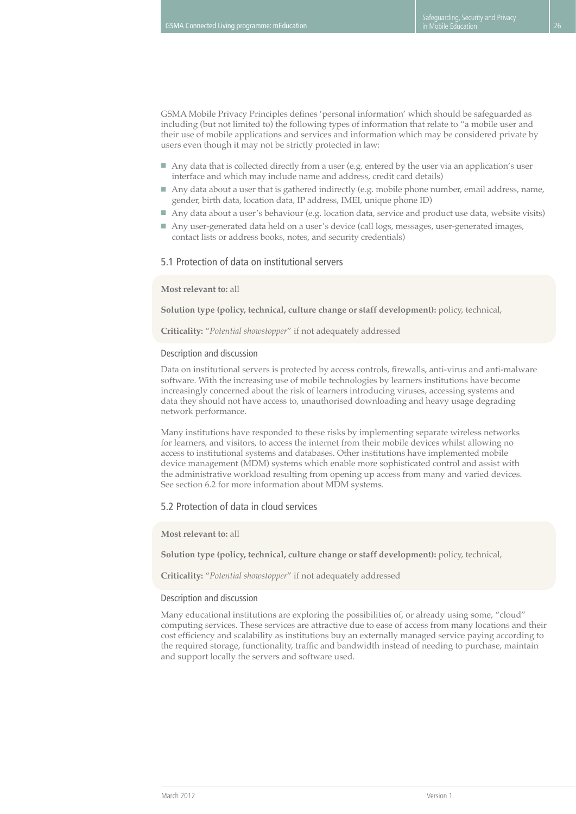GSMA Mobile Privacy Principles defines 'personal information' which should be safeguarded as including (but not limited to) the following types of information that relate to "a mobile user and their use of mobile applications and services and information which may be considered private by users even though it may not be strictly protected in law:

- Any data that is collected directly from a user (e.g. entered by the user via an application's user interface and which may include name and address, credit card details)
- Any data about a user that is gathered indirectly (e.g. mobile phone number, email address, name, gender, birth data, location data, IP address, IMEI, unique phone ID)
- Any data about a user's behaviour (e.g. location data, service and product use data, website visits)
- Any user-generated data held on a user's device (call logs, messages, user-generated images, contact lists or address books, notes, and security credentials)

#### 5.1 Protection of data on institutional servers

#### **Most relevant to:** all

**Solution type (policy, technical, culture change or staff development):** policy, technical,

**Criticality:** "*Potential showstopper*" if not adequately addressed

#### Description and discussion

Data on institutional servers is protected by access controls, firewalls, anti-virus and anti-malware software. With the increasing use of mobile technologies by learners institutions have become increasingly concerned about the risk of learners introducing viruses, accessing systems and data they should not have access to, unauthorised downloading and heavy usage degrading network performance.

Many institutions have responded to these risks by implementing separate wireless networks for learners, and visitors, to access the internet from their mobile devices whilst allowing no access to institutional systems and databases. Other institutions have implemented mobile device management (MDM) systems which enable more sophisticated control and assist with the administrative workload resulting from opening up access from many and varied devices. See section 6.2 for more information about MDM systems.

#### 5.2 Protection of data in cloud services

**Most relevant to:** all

**Solution type (policy, technical, culture change or staff development):** policy, technical,

**Criticality:** "*Potential showstopper*" if not adequately addressed

#### Description and discussion

Many educational institutions are exploring the possibilities of, or already using some, "cloud" computing services. These services are attractive due to ease of access from many locations and their cost efficiency and scalability as institutions buy an externally managed service paying according to the required storage, functionality, traffic and bandwidth instead of needing to purchase, maintain and support locally the servers and software used.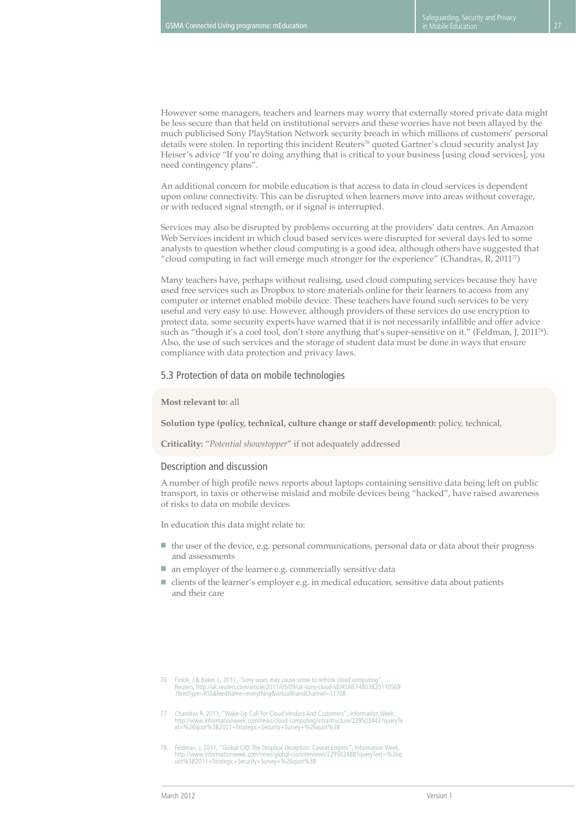However some managers, teachers and learners may worry that externally stored private data might be less secure than that held on institutional servers and these worries have not been allayed by the much publicised Sony PlayStation Network security breach in which millions of customers' personal details were stolen. In reporting this incident Reuters<sup>76</sup> quoted Gartner's cloud security analyst Jay Heiser's advice "If you're doing anything that is critical to your business [using cloud services], you need contingency plans".

An additional concern for mobile education is that access to data in cloud services is dependent upon online connectivity. This can be disrupted when learners move into areas without coverage, or with reduced signal strength, or if signal is interrupted.

Services may also be disrupted by problems occurring at the providers' data centres. An Amazon Web Services incident in which cloud based services were disrupted for several days led to some analysts to question whether cloud computing is a good idea, although others have suggested that "cloud computing in fact will emerge much stronger for the experience" (Chandras,  $R$ , 2011<sup>77</sup>)

Many teachers have, perhaps without realising, used cloud computing services because they have used free services such as Dropbox to store materials online for their learners to access from any computer or internet enabled mobile device. These teachers have found such services to be very useful and very easy to use. However, although providers of these services do use encryption to protect data, some security experts have warned that it is not necessarily infallible and offer advice such as "though it's a cool tool, don't store anything that's super-sensitive on it." (Feldman, J, 2011<sup>78</sup>). Also, the use of such services and the storage of student data must be done in ways that ensure compliance with data protection and privacy laws.

#### 5.3 Protection of data on mobile technologies

#### **Most relevant to:** all

**Solution type (policy, technical, culture change or staff development):** policy, technical,

**Criticality:** "*Potential showstopper*" if not adequately addressed

#### Description and discussion

A number of high profile news reports about laptops containing sensitive data being left on public transport, in taxis or otherwise mislaid and mobile devices being "hacked", have raised awareness of risks to data on mobile devices.

In education this data might relate to:

- the user of the device, e.g. personal communications, personal data or data about their progress and assessments
- an employer of the learner e.g. commercially sensitive data
- clients of the learner's employer e.g. in medical education, sensitive data about patients and their care

- 77 Chandras R, 2011, "Wake-Up Call For Cloud Vendors And Customers", Information Week, http://www.informationweek.com/news/cloud-computing/infrastructure/229503443?queryTe xt=%26quot%3B2011+Strategic+Security+Survey+%26quot%3B
- 78 Feldman, J, 2011, "Global CIO: The Dropbox Deception: Caveat Emptor", Information Week, http://www.informationweek.com/news/global-cio/interviews/229502488?queryText=%26q uot%3B2011+Strategic+Security+Survey+%26quot%3B

<sup>76</sup> Finkle, J & Baker, L, 2011, "Sony woes may cause some to rethink cloud computing",<br>Reuters, http://uk.reuters.com/article/2011/05/09/uk-sony-cloud-idUKLNE74803820110509<br>TreedType=RSS&feedName=everything&virtualBrandChan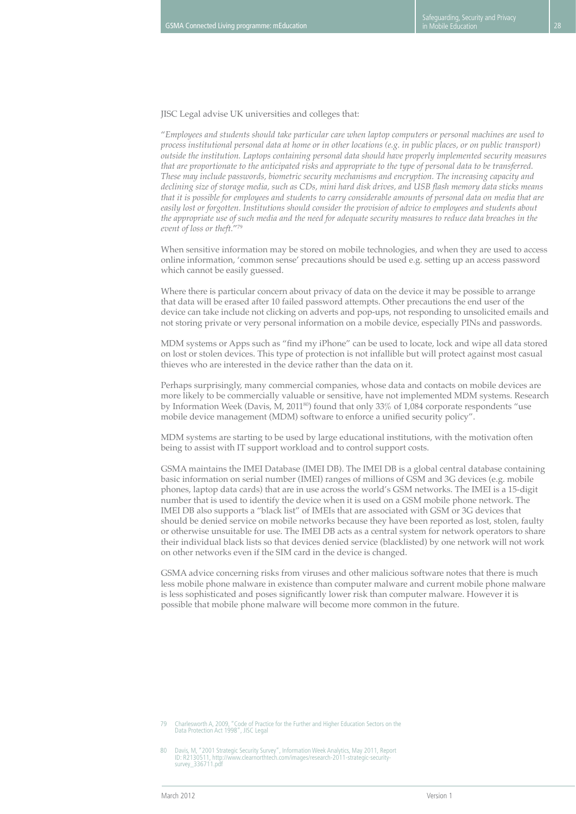JISC Legal advise UK universities and colleges that:

"*Employees and students should take particular care when laptop computers or personal machines are used to process institutional personal data at home or in other locations (e.g. in public places, or on public transport) outside the institution. Laptops containing personal data should have properly implemented security measures that are proportionate to the anticipated risks and appropriate to the type of personal data to be transferred. These may include passwords, biometric security mechanisms and encryption. The increasing capacity and declining size of storage media, such as CDs, mini hard disk drives, and USB flash memory data sticks means that it is possible for employees and students to carry considerable amounts of personal data on media that are easily lost or forgotten. Institutions should consider the provision of advice to employees and students about the appropriate use of such media and the need for adequate security measures to reduce data breaches in the event of loss or theft.*"79

When sensitive information may be stored on mobile technologies, and when they are used to access online information, 'common sense' precautions should be used e.g. setting up an access password which cannot be easily guessed.

Where there is particular concern about privacy of data on the device it may be possible to arrange that data will be erased after 10 failed password attempts. Other precautions the end user of the device can take include not clicking on adverts and pop-ups, not responding to unsolicited emails and not storing private or very personal information on a mobile device, especially PINs and passwords.

MDM systems or Apps such as "find my iPhone" can be used to locate, lock and wipe all data stored on lost or stolen devices. This type of protection is not infallible but will protect against most casual thieves who are interested in the device rather than the data on it.

Perhaps surprisingly, many commercial companies, whose data and contacts on mobile devices are more likely to be commercially valuable or sensitive, have not implemented MDM systems. Research by Information Week (Davis, M,  $2011^{80}$ ) found that only 33% of 1,084 corporate respondents "use mobile device management (MDM) software to enforce a unified security policy".

MDM systems are starting to be used by large educational institutions, with the motivation often being to assist with IT support workload and to control support costs.

GSMA maintains the IMEI Database (IMEI DB). The IMEI DB is a global central database containing basic information on serial number (IMEI) ranges of millions of GSM and 3G devices (e.g. mobile phones, laptop data cards) that are in use across the world's GSM networks. The IMEI is a 15-digit number that is used to identify the device when it is used on a GSM mobile phone network. The IMEI DB also supports a "black list" of IMEIs that are associated with GSM or 3G devices that should be denied service on mobile networks because they have been reported as lost, stolen, faulty or otherwise unsuitable for use. The IMEI DB acts as a central system for network operators to share their individual black lists so that devices denied service (blacklisted) by one network will not work on other networks even if the SIM card in the device is changed.

GSMA advice concerning risks from viruses and other malicious software notes that there is much less mobile phone malware in existence than computer malware and current mobile phone malware is less sophisticated and poses significantly lower risk than computer malware. However it is possible that mobile phone malware will become more common in the future.

<sup>79</sup> Charlesworth A, 2009, "Code of Practice for the Further and Higher Education Sectors on the Data Protection Act 1998", JISC Legal

<sup>80</sup> Davis, M, "2001 Strategic Security Survey", Information Week Analytics, May 2011, Report ID: R2130511, http://www.clearnorthtech.com/images/research-2011-strategic-securitysurvey\_336711.pdf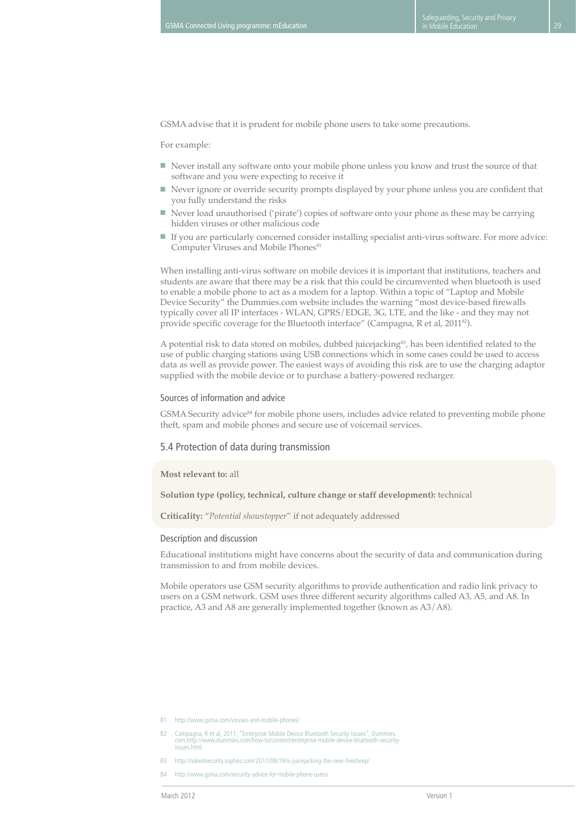GSMA advise that it is prudent for mobile phone users to take some precautions.

For example:

- Never install any software onto your mobile phone unless you know and trust the source of that software and you were expecting to receive it
- Never ignore or override security prompts displayed by your phone unless you are confident that you fully understand the risks
- Never load unauthorised ('pirate') copies of software onto your phone as these may be carrying hidden viruses or other malicious code
- If you are particularly concerned consider installing specialist anti-virus software. For more advice: Computer Viruses and Mobile Phones<sup>81</sup>

When installing anti-virus software on mobile devices it is important that institutions, teachers and students are aware that there may be a risk that this could be circumvented when bluetooth is used to enable a mobile phone to act as a modem for a laptop. Within a topic of "Laptop and Mobile Device Security" the Dummies.com website includes the warning "most device-based firewalls typically cover all IP interfaces - WLAN, GPRS/EDGE, 3G, LTE, and the like - and they may not provide specific coverage for the Bluetooth interface" (Campagna, R et al, 2011<sup>82</sup>).

A potential risk to data stored on mobiles, dubbed juicejacking<sup>83</sup>, has been identified related to the use of public charging stations using USB connections which in some cases could be used to access data as well as provide power. The easiest ways of avoiding this risk are to use the charging adaptor supplied with the mobile device or to purchase a battery-powered recharger.

#### Sources of information and advice

GSMA Security advice<sup>84</sup> for mobile phone users, includes advice related to preventing mobile phone theft, spam and mobile phones and secure use of voicemail services.

#### 5.4 Protection of data during transmission

#### **Most relevant to:** all

**Solution type (policy, technical, culture change or staff development):** technical

**Criticality:** "*Potential showstopper*" if not adequately addressed

#### Description and discussion

Educational institutions might have concerns about the security of data and communication during transmission to and from mobile devices.

Mobile operators use GSM security algorithms to provide authentication and radio link privacy to users on a GSM network. GSM uses three different security algorithms called A3, A5, and A8. In practice, A3 and A8 are generally implemented together (known as A3/A8).

- 81 http://www.gsma.com/viruses-and-mobile-phones/
- 82 Campagna, R et al, 2011, "Enterprise Mobile Device Bluetooth Security Issues", Dummies. com,http://www.dummies.com/how-to/content/enterprise-mobile-device-bluetooth-securityissues.html
- 83 http://nakedsecurity.sophos.com/2011/08/19/is-juicejacking-the-new-firesheep/
- 84 http://www.gsma.com/security-advice-for-mobile-phone-users/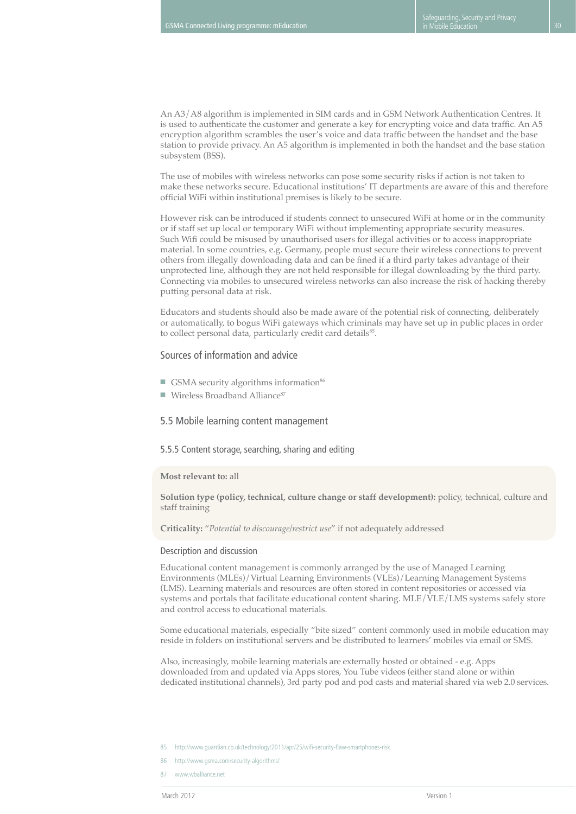An A3/A8 algorithm is implemented in SIM cards and in GSM Network Authentication Centres. It is used to authenticate the customer and generate a key for encrypting voice and data traffic. An A5 encryption algorithm scrambles the user's voice and data traffic between the handset and the base station to provide privacy. An A5 algorithm is implemented in both the handset and the base station subsystem (BSS).

The use of mobiles with wireless networks can pose some security risks if action is not taken to make these networks secure. Educational institutions' IT departments are aware of this and therefore official WiFi within institutional premises is likely to be secure.

However risk can be introduced if students connect to unsecured WiFi at home or in the community or if staff set up local or temporary WiFi without implementing appropriate security measures. Such Wifi could be misused by unauthorised users for illegal activities or to access inappropriate material. In some countries, e.g. Germany, people must secure their wireless connections to prevent others from illegally downloading data and can be fined if a third party takes advantage of their unprotected line, although they are not held responsible for illegal downloading by the third party. Connecting via mobiles to unsecured wireless networks can also increase the risk of hacking thereby putting personal data at risk.

Educators and students should also be made aware of the potential risk of connecting, deliberately or automatically, to bogus WiFi gateways which criminals may have set up in public places in order to collect personal data, particularly credit card details<sup>85</sup>.

#### Sources of information and advice

- GSMA security algorithms information<sup>86</sup>
- Wireless Broadband Alliance<sup>87</sup>

#### 5.5 Mobile learning content management

5.5.5 Content storage, searching, sharing and editing

#### **Most relevant to:** all

**Solution type (policy, technical, culture change or staff development):** policy, technical, culture and staff training

**Criticality:** "*Potential to discourage/restrict use*" if not adequately addressed

#### Description and discussion

Educational content management is commonly arranged by the use of Managed Learning Environments (MLEs)/Virtual Learning Environments (VLEs)/Learning Management Systems (LMS). Learning materials and resources are often stored in content repositories or accessed via systems and portals that facilitate educational content sharing. MLE/VLE/LMS systems safely store and control access to educational materials.

Some educational materials, especially "bite sized" content commonly used in mobile education may reside in folders on institutional servers and be distributed to learners' mobiles via email or SMS.

Also, increasingly, mobile learning materials are externally hosted or obtained - e.g. Apps downloaded from and updated via Apps stores, You Tube videos (either stand alone or within dedicated institutional channels), 3rd party pod and pod casts and material shared via web 2.0 services.

85 http://www.guardian.co.uk/technology/2011/apr/25/wifi-security-flaw-smartphones-risk

87 www.wballiance.net

<sup>86</sup> http://www.gsma.com/security-algorithms/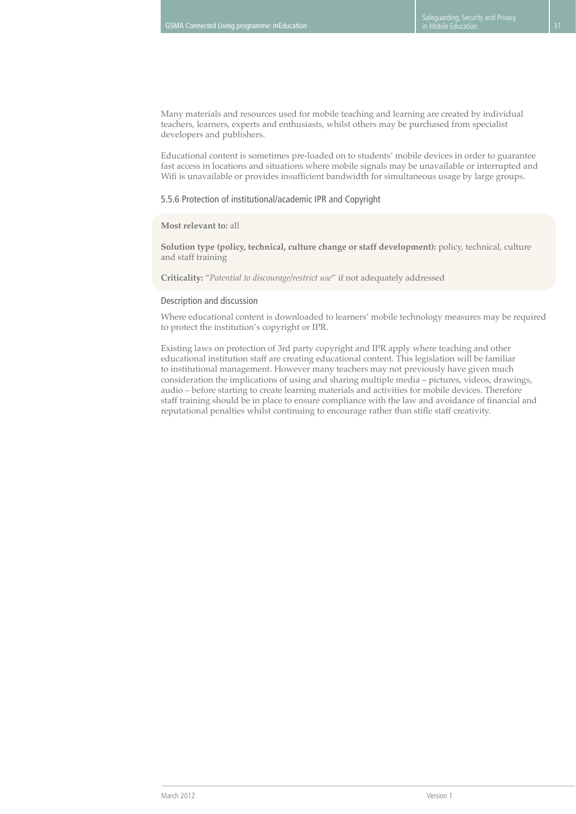Many materials and resources used for mobile teaching and learning are created by individual teachers, learners, experts and enthusiasts, whilst others may be purchased from specialist developers and publishers.

Educational content is sometimes pre-loaded on to students' mobile devices in order to guarantee fast access in locations and situations where mobile signals may be unavailable or interrupted and Wifi is unavailable or provides insufficient bandwidth for simultaneous usage by large groups.

### 5.5.6 Protection of institutional/academic IPR and Copyright

#### **Most relevant to:** all

**Solution type (policy, technical, culture change or staff development):** policy, technical, culture and staff training

**Criticality:** "*Potential to discourage/restrict use*" if not adequately addressed

#### Description and discussion

Where educational content is downloaded to learners' mobile technology measures may be required to protect the institution's copyright or IPR.

Existing laws on protection of 3rd party copyright and IPR apply where teaching and other educational institution staff are creating educational content. This legislation will be familiar to institutional management. However many teachers may not previously have given much consideration the implications of using and sharing multiple media – pictures, videos, drawings, audio – before starting to create learning materials and activities for mobile devices. Therefore staff training should be in place to ensure compliance with the law and avoidance of financial and reputational penalties whilst continuing to encourage rather than stifle staff creativity.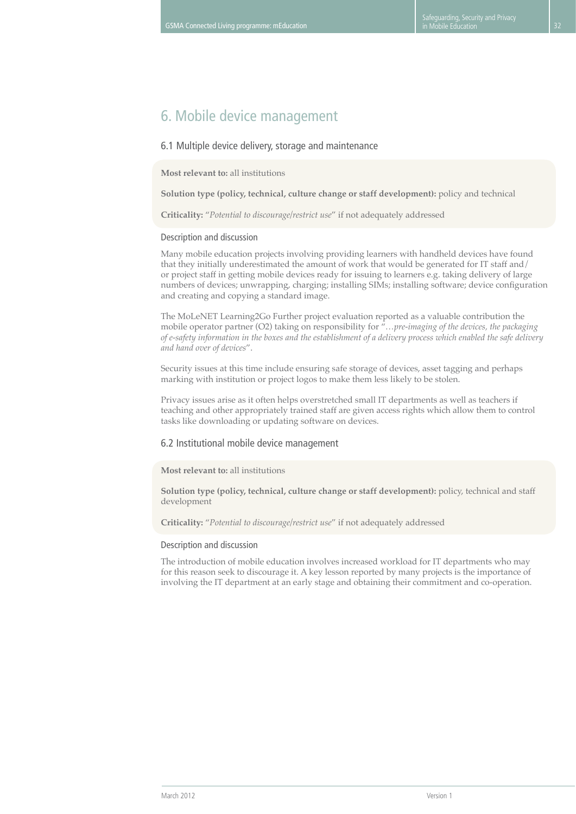# 6. Mobile device management

### 6.1 Multiple device delivery, storage and maintenance

**Most relevant to:** all institutions

**Solution type (policy, technical, culture change or staff development):** policy and technical

**Criticality:** "*Potential to discourage/restrict use*" if not adequately addressed

#### Description and discussion

Many mobile education projects involving providing learners with handheld devices have found that they initially underestimated the amount of work that would be generated for IT staff and/ or project staff in getting mobile devices ready for issuing to learners e.g. taking delivery of large numbers of devices; unwrapping, charging; installing SIMs; installing software; device configuration and creating and copying a standard image.

The MoLeNET Learning2Go Further project evaluation reported as a valuable contribution the mobile operator partner (O2) taking on responsibility for "*…pre-imaging of the devices, the packaging of e-safety information in the boxes and the establishment of a delivery process which enabled the safe delivery and hand over of devices*".

Security issues at this time include ensuring safe storage of devices, asset tagging and perhaps marking with institution or project logos to make them less likely to be stolen.

Privacy issues arise as it often helps overstretched small IT departments as well as teachers if teaching and other appropriately trained staff are given access rights which allow them to control tasks like downloading or updating software on devices.

#### 6.2 Institutional mobile device management

## **Most relevant to:** all institutions

**Solution type (policy, technical, culture change or staff development):** policy, technical and staff development

**Criticality:** "*Potential to discourage/restrict use*" if not adequately addressed

#### Description and discussion

The introduction of mobile education involves increased workload for IT departments who may for this reason seek to discourage it. A key lesson reported by many projects is the importance of involving the IT department at an early stage and obtaining their commitment and co-operation.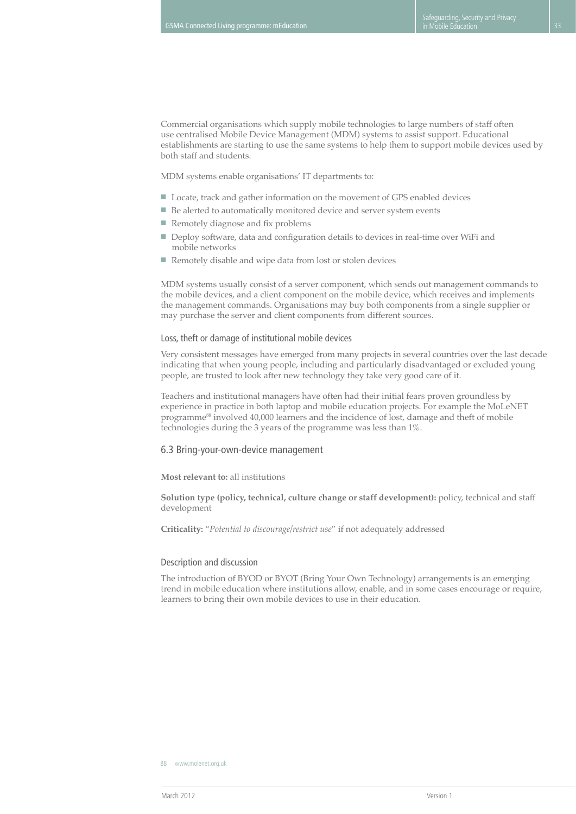Commercial organisations which supply mobile technologies to large numbers of staff often use centralised Mobile Device Management (MDM) systems to assist support. Educational establishments are starting to use the same systems to help them to support mobile devices used by both staff and students.

MDM systems enable organisations' IT departments to:

- Locate, track and gather information on the movement of GPS enabled devices
- Be alerted to automatically monitored device and server system events
- Remotely diagnose and fix problems
- Deploy software, data and configuration details to devices in real-time over WiFi and mobile networks
- Remotely disable and wipe data from lost or stolen devices

MDM systems usually consist of a server component, which sends out management commands to the mobile devices, and a client component on the mobile device, which receives and implements the management commands. Organisations may buy both components from a single supplier or may purchase the server and client components from different sources.

#### Loss, theft or damage of institutional mobile devices

Very consistent messages have emerged from many projects in several countries over the last decade indicating that when young people, including and particularly disadvantaged or excluded young people, are trusted to look after new technology they take very good care of it.

Teachers and institutional managers have often had their initial fears proven groundless by experience in practice in both laptop and mobile education projects. For example the MoLeNET programme<sup>88</sup> involved 40,000 learners and the incidence of lost, damage and theft of mobile technologies during the 3 years of the programme was less than 1%.

#### 6.3 Bring-your-own-device management

**Most relevant to:** all institutions

**Solution type (policy, technical, culture change or staff development):** policy, technical and staff development

**Criticality:** "*Potential to discourage/restrict use*" if not adequately addressed

#### Description and discussion

The introduction of BYOD or BYOT (Bring Your Own Technology) arrangements is an emerging trend in mobile education where institutions allow, enable, and in some cases encourage or require, learners to bring their own mobile devices to use in their education.

<sup>88</sup> www.molenet.org.uk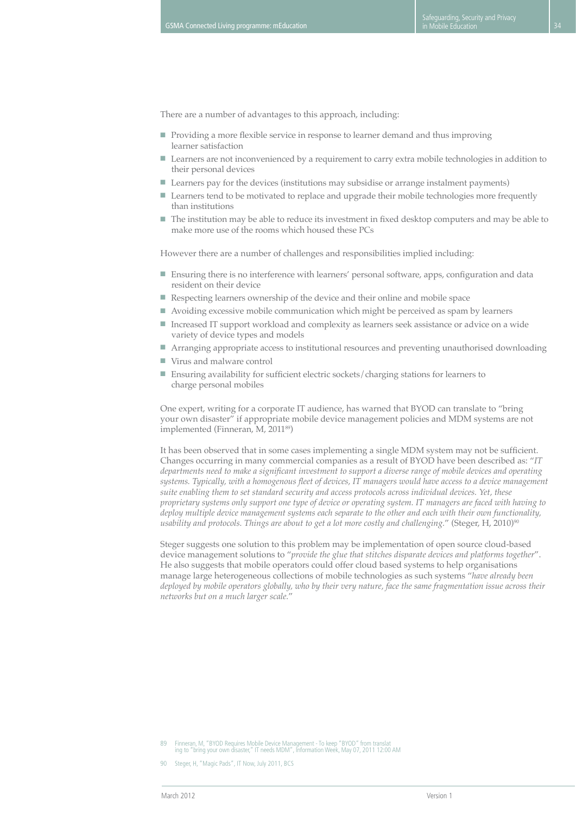There are a number of advantages to this approach, including:

- Providing a more flexible service in response to learner demand and thus improving learner satisfaction
- Learners are not inconvenienced by a requirement to carry extra mobile technologies in addition to their personal devices
- Learners pay for the devices (institutions may subsidise or arrange instalment payments)
- Learners tend to be motivated to replace and upgrade their mobile technologies more frequently than institutions
- The institution may be able to reduce its investment in fixed desktop computers and may be able to make more use of the rooms which housed these PCs

However there are a number of challenges and responsibilities implied including:

- Ensuring there is no interference with learners' personal software, apps, configuration and data resident on their device
- Respecting learners ownership of the device and their online and mobile space
- Avoiding excessive mobile communication which might be perceived as spam by learners
- Increased IT support workload and complexity as learners seek assistance or advice on a wide variety of device types and models
- Arranging appropriate access to institutional resources and preventing unauthorised downloading
- Virus and malware control
- Ensuring availability for sufficient electric sockets/charging stations for learners to charge personal mobiles

One expert, writing for a corporate IT audience, has warned that BYOD can translate to "bring your own disaster" if appropriate mobile device management policies and MDM systems are not implemented (Finneran, M, 2011<sup>89</sup>)

It has been observed that in some cases implementing a single MDM system may not be sufficient. Changes occurring in many commercial companies as a result of BYOD have been described as: "*IT departments need to make a significant investment to support a diverse range of mobile devices and operating systems. Typically, with a homogenous fleet of devices, IT managers would have access to a device management suite enabling them to set standard security and access protocols across individual devices. Yet, these proprietary systems only support one type of device or operating system. IT managers are faced with having to deploy multiple device management systems each separate to the other and each with their own functionality, usability and protocols. Things are about to get a lot more costly and challenging.*" (Steger, H, 2010)<sup>90</sup>

Steger suggests one solution to this problem may be implementation of open source cloud-based device management solutions to "*provide the glue that stitches disparate devices and platforms together*". He also suggests that mobile operators could offer cloud based systems to help organisations manage large heterogeneous collections of mobile technologies as such systems "*have already been deployed by mobile operators globally, who by their very nature, face the same fragmentation issue across their networks but on a much larger scale.*"

<sup>89</sup> Finneran, M, "BYOD Requires Mobile Device Management - To keep "BYOD" from translat ing to "bring your own disaster," IT needs MDM", Information Week, May 07, 2011 12:00 AM

<sup>90</sup> Steger, H, "Magic Pads", IT Now, July 2011, BCS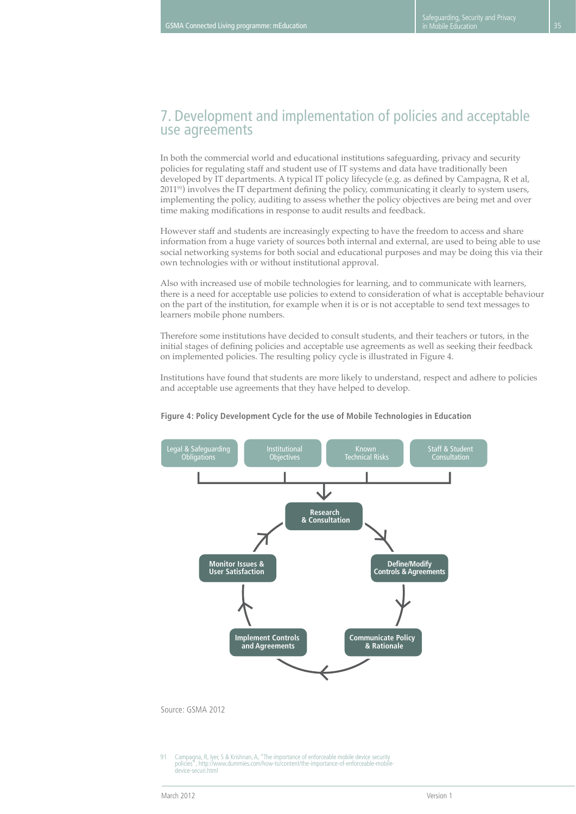# 7. Development and implementation of policies and acceptable use agreements

In both the commercial world and educational institutions safeguarding, privacy and security policies for regulating staff and student use of IT systems and data have traditionally been developed by IT departments. A typical IT policy lifecycle (e.g. as defined by Campagna, R et al, 201191) involves the IT department defining the policy, communicating it clearly to system users, implementing the policy, auditing to assess whether the policy objectives are being met and over time making modifications in response to audit results and feedback.

However staff and students are increasingly expecting to have the freedom to access and share information from a huge variety of sources both internal and external, are used to being able to use social networking systems for both social and educational purposes and may be doing this via their own technologies with or without institutional approval.

Also with increased use of mobile technologies for learning, and to communicate with learners, there is a need for acceptable use policies to extend to consideration of what is acceptable behaviour on the part of the institution, for example when it is or is not acceptable to send text messages to learners mobile phone numbers.

Therefore some institutions have decided to consult students, and their teachers or tutors, in the initial stages of defining policies and acceptable use agreements as well as seeking their feedback on implemented policies. The resulting policy cycle is illustrated in Figure 4.

Institutions have found that students are more likely to understand, respect and adhere to policies and acceptable use agreements that they have helped to develop.



#### **Figure 4: Policy Development Cycle for the use of Mobile Technologies in Education**

91 Campagna, R, Iyer, S & Krishnan, A, "The importance of enforceable mobile device security<br>policies that if the interview duranties com/how-to/content/the-importance-of-enforceable-mobile , http://www.dummies.com/how-to/content/the-importance-of-enforceable-mobile device-securi.html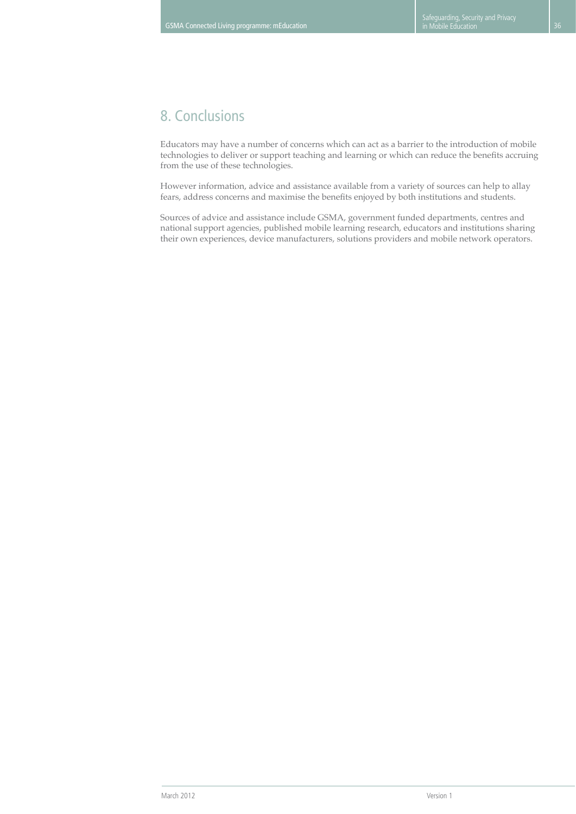# 8. Conclusions

Educators may have a number of concerns which can act as a barrier to the introduction of mobile technologies to deliver or support teaching and learning or which can reduce the benefits accruing from the use of these technologies.

However information, advice and assistance available from a variety of sources can help to allay fears, address concerns and maximise the benefits enjoyed by both institutions and students.

Sources of advice and assistance include GSMA, government funded departments, centres and national support agencies, published mobile learning research, educators and institutions sharing their own experiences, device manufacturers, solutions providers and mobile network operators.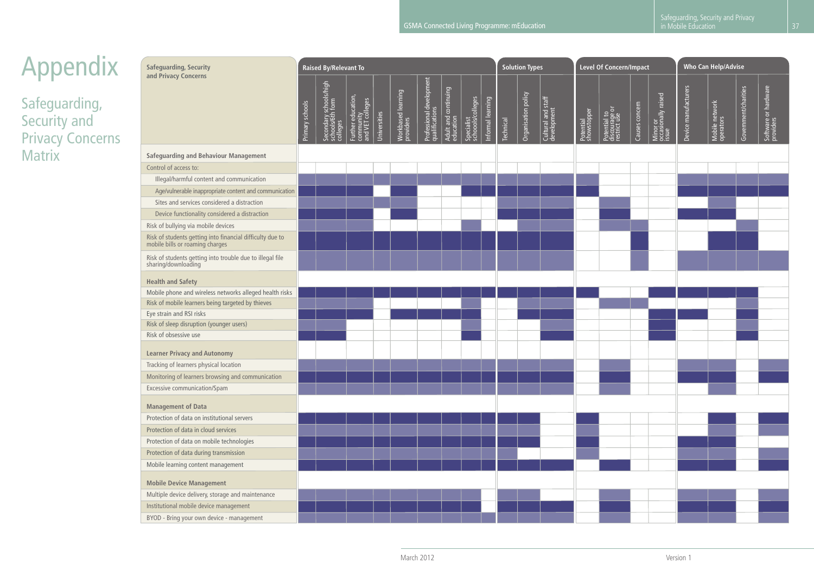# Appendix

Safeguarding, Security and Privacy Concerns **Matrix** 

| <b>Safeguarding, Security</b><br>and Privacy Concerns                                        |  | <b>Raised By/Relevant To</b>                               |                                                     |              |                    |                                            |                                   |                                 |                   |                  | <b>Solution Types</b> |                                   | <b>Level Of Concern/Impact</b> |                                               |                |                                          | Who Can Help/Advise  |                             |                      |                                   |
|----------------------------------------------------------------------------------------------|--|------------------------------------------------------------|-----------------------------------------------------|--------------|--------------------|--------------------------------------------|-----------------------------------|---------------------------------|-------------------|------------------|-----------------------|-----------------------------------|--------------------------------|-----------------------------------------------|----------------|------------------------------------------|----------------------|-----------------------------|----------------------|-----------------------------------|
|                                                                                              |  | Secondary schools/high<br>  schools/6th form<br>  colleges | Further education,<br>community<br>and VET colleges | Universities | Workbased learning | Professional development<br>qualifications | Adult and continuing<br>education | Specialist<br>schoools/colleges | Informal learning | <b>Technical</b> | Organisation policy   | Cultural and staff<br>development | Potential<br>showstopper       | Potential to<br>discourage or<br>restrict use | Causes concern | Minor or<br>occasionally raised<br>issue | Device manufacturers | Mobile network<br>operators | Government/charities | Software or hardware<br>providers |
| Safeguarding and Behaviour Management                                                        |  |                                                            |                                                     |              |                    |                                            |                                   |                                 |                   |                  |                       |                                   |                                |                                               |                |                                          |                      |                             |                      |                                   |
| Control of access to:                                                                        |  |                                                            |                                                     |              |                    |                                            |                                   |                                 |                   |                  |                       |                                   |                                |                                               |                |                                          |                      |                             |                      |                                   |
| Illegal/harmful content and communication                                                    |  |                                                            |                                                     |              |                    |                                            |                                   |                                 |                   |                  |                       |                                   |                                |                                               |                |                                          |                      |                             |                      |                                   |
| Age/vulnerable inappropriate content and communication                                       |  |                                                            |                                                     |              |                    |                                            |                                   |                                 |                   |                  |                       |                                   |                                |                                               |                |                                          |                      |                             |                      |                                   |
| Sites and services considered a distraction                                                  |  |                                                            |                                                     |              |                    |                                            |                                   |                                 |                   |                  |                       |                                   |                                |                                               |                |                                          |                      |                             |                      |                                   |
| Device functionality considered a distraction                                                |  |                                                            |                                                     |              |                    |                                            |                                   |                                 |                   |                  |                       |                                   |                                |                                               |                |                                          |                      |                             |                      |                                   |
| Risk of bullying via mobile devices                                                          |  |                                                            |                                                     |              |                    |                                            |                                   |                                 |                   |                  |                       |                                   |                                |                                               |                |                                          |                      |                             |                      |                                   |
| Risk of students getting into financial difficulty due to<br>mobile bills or roaming charges |  |                                                            |                                                     |              |                    |                                            |                                   |                                 |                   |                  |                       |                                   |                                |                                               |                |                                          |                      |                             |                      |                                   |
| Risk of students getting into trouble due to illegal file<br>sharing/downloading             |  |                                                            |                                                     |              |                    |                                            |                                   |                                 |                   |                  |                       |                                   |                                |                                               |                |                                          |                      |                             |                      |                                   |
| <b>Health and Safety</b>                                                                     |  |                                                            |                                                     |              |                    |                                            |                                   |                                 |                   |                  |                       |                                   |                                |                                               |                |                                          |                      |                             |                      |                                   |
| Mobile phone and wireless networks alleged health risks                                      |  |                                                            |                                                     |              |                    |                                            |                                   |                                 |                   |                  |                       |                                   |                                |                                               |                |                                          |                      |                             |                      |                                   |
| Risk of mobile learners being targeted by thieves                                            |  |                                                            |                                                     |              |                    |                                            |                                   |                                 |                   |                  |                       |                                   |                                |                                               |                |                                          |                      |                             |                      |                                   |
| Eye strain and RSI risks                                                                     |  |                                                            |                                                     |              |                    |                                            |                                   |                                 |                   |                  |                       |                                   |                                |                                               |                |                                          |                      |                             |                      |                                   |
| Risk of sleep disruption (younger users)<br>Risk of obsessive use                            |  |                                                            |                                                     |              |                    |                                            |                                   |                                 |                   |                  |                       |                                   |                                |                                               |                |                                          |                      |                             |                      |                                   |
|                                                                                              |  |                                                            |                                                     |              |                    |                                            |                                   |                                 |                   |                  |                       |                                   |                                |                                               |                |                                          |                      |                             |                      |                                   |
| <b>Learner Privacy and Autonomy</b>                                                          |  |                                                            |                                                     |              |                    |                                            |                                   |                                 |                   |                  |                       |                                   |                                |                                               |                |                                          |                      |                             |                      |                                   |
| Tracking of learners physical location                                                       |  |                                                            |                                                     |              |                    |                                            |                                   |                                 |                   |                  |                       |                                   |                                |                                               |                |                                          |                      |                             |                      |                                   |
| Monitoring of learners browsing and communication                                            |  |                                                            |                                                     |              |                    |                                            |                                   |                                 |                   |                  |                       |                                   |                                |                                               |                |                                          |                      |                             |                      |                                   |
| Excessive communication/Spam                                                                 |  |                                                            |                                                     |              |                    |                                            |                                   |                                 |                   |                  |                       |                                   |                                |                                               |                |                                          |                      |                             |                      |                                   |
| <b>Management of Data</b>                                                                    |  |                                                            |                                                     |              |                    |                                            |                                   |                                 |                   |                  |                       |                                   |                                |                                               |                |                                          |                      |                             |                      |                                   |
| Protection of data on institutional servers                                                  |  |                                                            |                                                     |              |                    |                                            |                                   |                                 |                   |                  |                       |                                   |                                |                                               |                |                                          |                      |                             |                      |                                   |
| Protection of data in cloud services                                                         |  |                                                            |                                                     |              |                    |                                            |                                   |                                 |                   |                  |                       |                                   |                                |                                               |                |                                          |                      |                             |                      |                                   |
| Protection of data on mobile technologies                                                    |  |                                                            |                                                     |              |                    |                                            |                                   |                                 |                   |                  |                       |                                   |                                |                                               |                |                                          |                      |                             |                      |                                   |
| Protection of data during transmission                                                       |  |                                                            |                                                     |              |                    |                                            |                                   |                                 |                   |                  |                       |                                   |                                |                                               |                |                                          |                      |                             |                      |                                   |
| Mobile learning content management                                                           |  |                                                            |                                                     |              |                    |                                            |                                   |                                 |                   |                  |                       |                                   |                                |                                               |                |                                          |                      |                             |                      |                                   |
| <b>Mobile Device Management</b>                                                              |  |                                                            |                                                     |              |                    |                                            |                                   |                                 |                   |                  |                       |                                   |                                |                                               |                |                                          |                      |                             |                      |                                   |
| Multiple device delivery, storage and maintenance                                            |  |                                                            |                                                     |              |                    |                                            |                                   |                                 |                   |                  |                       |                                   |                                |                                               |                |                                          |                      |                             |                      |                                   |
| Institutional mobile device management                                                       |  |                                                            |                                                     |              |                    |                                            |                                   |                                 |                   |                  |                       |                                   |                                |                                               |                |                                          |                      |                             |                      |                                   |
| BYOD - Bring your own device - management                                                    |  |                                                            |                                                     |              |                    |                                            |                                   |                                 |                   |                  |                       |                                   |                                |                                               |                |                                          |                      |                             |                      |                                   |